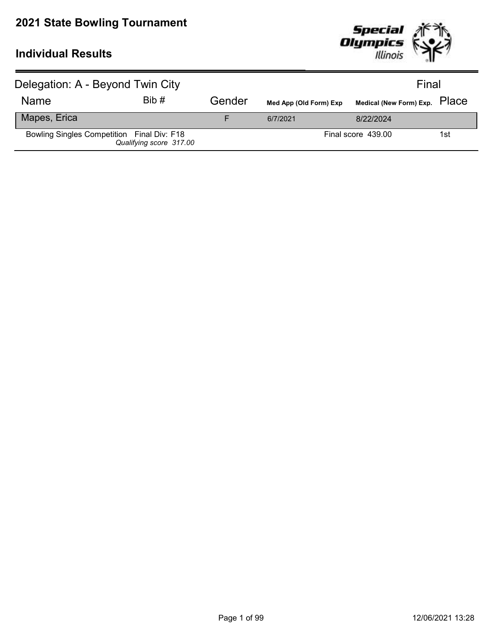

| Delegation: A - Beyond Twin City           |                         |        |                        | Final                         |     |
|--------------------------------------------|-------------------------|--------|------------------------|-------------------------------|-----|
| <b>Name</b>                                | Bib#                    | Gender | Med App (Old Form) Exp | Medical (New Form) Exp. PlaCe |     |
| Mapes, Erica                               |                         |        | 6/7/2021               | 8/22/2024                     |     |
| Bowling Singles Competition Final Div: F18 | Qualifying score 317.00 |        |                        | Final score 439.00            | 1st |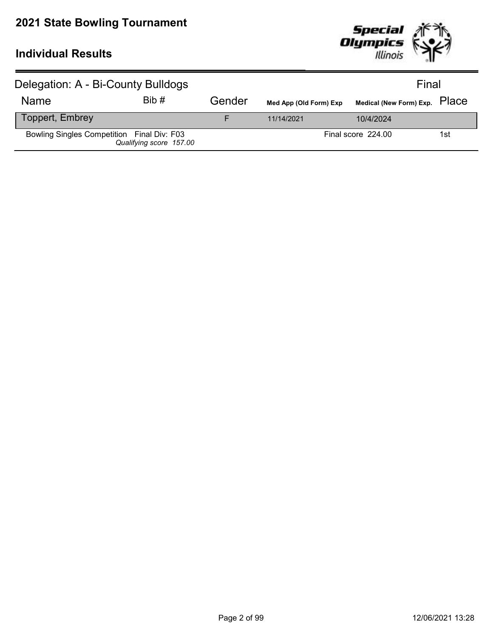

| Delegation: A - Bi-County Bulldogs         |                         |        |                        | Final                         |     |  |
|--------------------------------------------|-------------------------|--------|------------------------|-------------------------------|-----|--|
| <b>Name</b>                                | Bib#                    | Gender | Med App (Old Form) Exp | Medical (New Form) Exp. PlaCe |     |  |
| Toppert, Embrey                            |                         |        | 11/14/2021             | 10/4/2024                     |     |  |
| Bowling Singles Competition Final Div: F03 | Qualifying score 157.00 |        |                        | Final score 224.00            | 1st |  |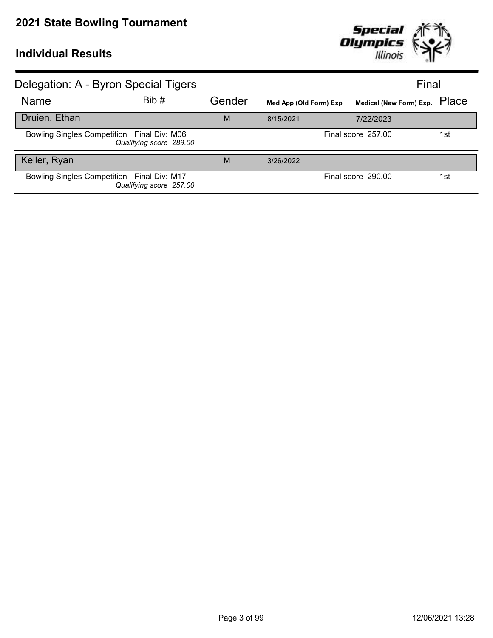

| Delegation: A - Byron Special Tigers       |                         |        |                        |                         | Final |
|--------------------------------------------|-------------------------|--------|------------------------|-------------------------|-------|
| <b>Name</b>                                | Bib#                    | Gender | Med App (Old Form) Exp | Medical (New Form) Exp. | Place |
| Druien, Ethan                              |                         | M      | 8/15/2021              | 7/22/2023               |       |
| Bowling Singles Competition Final Div: M06 | Qualifying score 289.00 |        |                        | Final score 257.00      | 1st   |
| Keller, Ryan                               |                         | M      | 3/26/2022              |                         |       |
| Bowling Singles Competition Final Div: M17 | Qualifying score 257.00 |        |                        | Final score 290.00      | 1st   |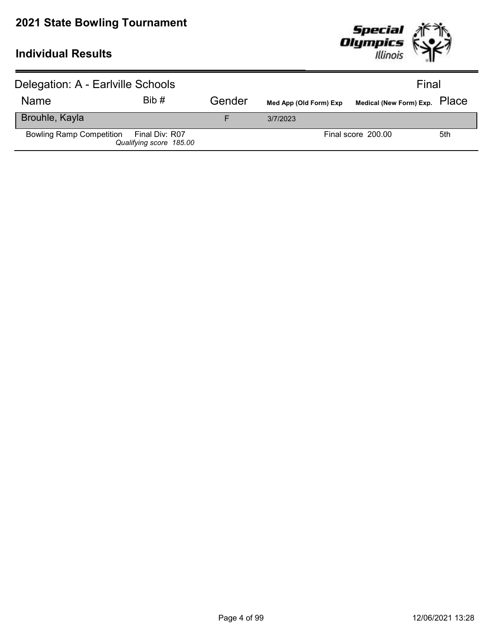

| Delegation: A - Earlville Schools       |                         |        |                        | Final                         |     |
|-----------------------------------------|-------------------------|--------|------------------------|-------------------------------|-----|
| <b>Name</b>                             | Bib#                    | Gender | Med App (Old Form) Exp | Medical (New Form) Exp. PlaCe |     |
| Brouhle, Kayla                          |                         |        | 3/7/2023               |                               |     |
| Bowling Ramp Competition Final Div: R07 | Qualifying score 185.00 |        |                        | Final score 200.00            | 5th |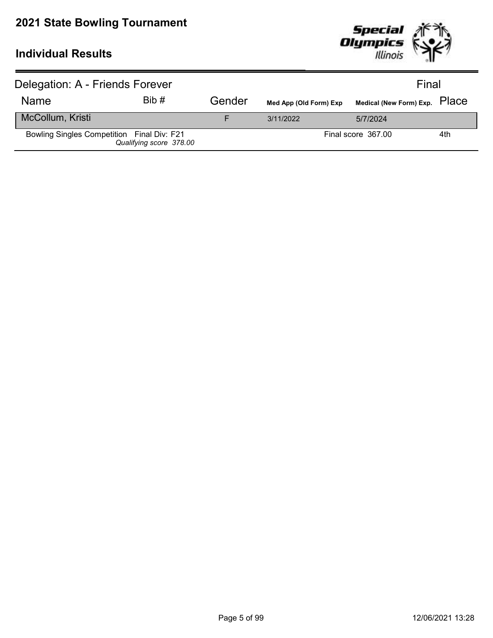

| Delegation: A - Friends Forever            |                         |        |                        | Final                         |     |
|--------------------------------------------|-------------------------|--------|------------------------|-------------------------------|-----|
| <b>Name</b>                                | Bib#                    | Gender | Med App (Old Form) Exp | Medical (New Form) Exp. PlaCe |     |
| McCollum, Kristi                           |                         |        | 3/11/2022              | 5/7/2024                      |     |
| Bowling Singles Competition Final Div: F21 | Qualifying score 378.00 |        |                        | Final score 367.00            | 4th |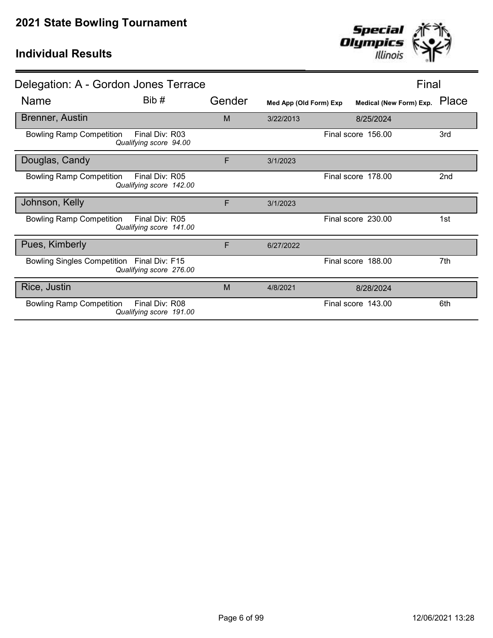

| Delegation: A - Gordon Jones Terrace       |                                           |        |                        | Final                   |       |
|--------------------------------------------|-------------------------------------------|--------|------------------------|-------------------------|-------|
| Name                                       | Bib#                                      | Gender | Med App (Old Form) Exp | Medical (New Form) Exp. | Place |
| <b>Brenner, Austin</b>                     |                                           | M      | 3/22/2013              | 8/25/2024               |       |
| <b>Bowling Ramp Competition</b>            | Final Div: R03<br>Qualifying score 94.00  |        |                        | Final score 156.00      | 3rd   |
| Douglas, Candy                             |                                           | F      | 3/1/2023               |                         |       |
| <b>Bowling Ramp Competition</b>            | Final Div: R05<br>Qualifying score 142.00 |        |                        | Final score 178.00      | 2nd   |
| Johnson, Kelly                             |                                           | F      | 3/1/2023               |                         |       |
| <b>Bowling Ramp Competition</b>            | Final Div: R05<br>Qualifying score 141.00 |        |                        | Final score 230.00      | 1st   |
| Pues, Kimberly                             |                                           | F      | 6/27/2022              |                         |       |
| Bowling Singles Competition Final Div: F15 | Qualifying score 276.00                   |        |                        | Final score 188.00      | 7th   |
| Rice, Justin                               |                                           | M      | 4/8/2021               | 8/28/2024               |       |
| <b>Bowling Ramp Competition</b>            | Final Div: R08<br>Qualifying score 191.00 |        |                        | Final score 143.00      | 6th   |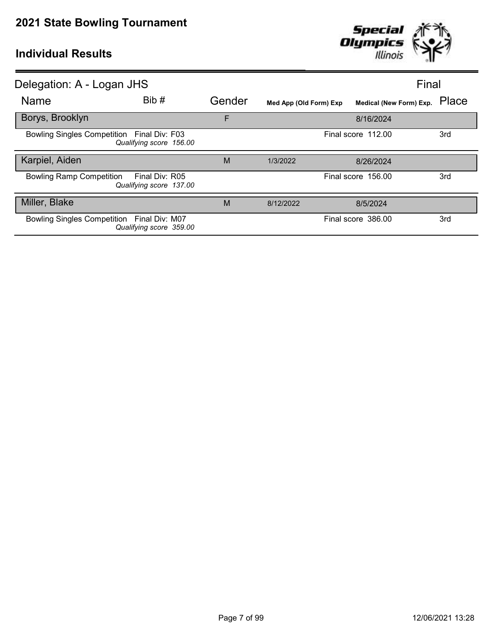

| Delegation: A - Logan JHS                                                    |        | Final                  |                               |     |
|------------------------------------------------------------------------------|--------|------------------------|-------------------------------|-----|
| Bib #<br><b>Name</b>                                                         | Gender | Med App (Old Form) Exp | Medical (New Form) Exp. Place |     |
| Borys, Brooklyn                                                              | F      |                        | 8/16/2024                     |     |
| Bowling Singles Competition Final Div: F03<br>Qualifying score 156.00        |        |                        | Final score 112.00            | 3rd |
| Karpiel, Aiden                                                               | M      | 1/3/2022               | 8/26/2024                     |     |
| <b>Bowling Ramp Competition</b><br>Final Div: R05<br>Qualifying score 137.00 |        |                        | Final score 156.00            | 3rd |
| Miller, Blake                                                                | M      | 8/12/2022              | 8/5/2024                      |     |
| Bowling Singles Competition Final Div: M07<br>Qualifying score 359.00        |        |                        | Final score 386.00            | 3rd |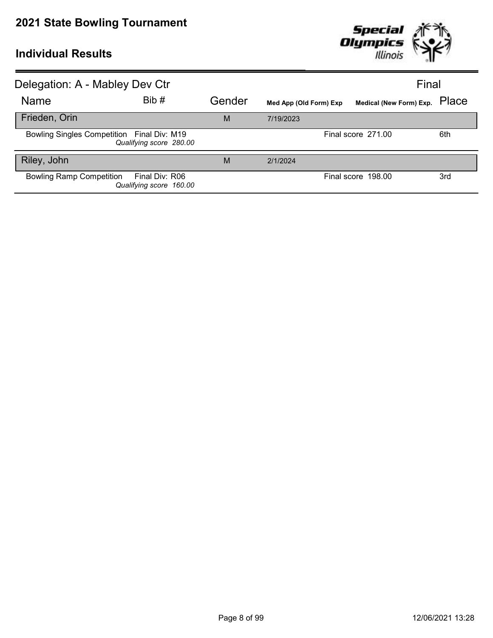

| Delegation: A - Mabley Dev Ctr             |                                           |        |                        | Final                   |       |
|--------------------------------------------|-------------------------------------------|--------|------------------------|-------------------------|-------|
| Name                                       | Bib #                                     | Gender | Med App (Old Form) Exp | Medical (New Form) Exp. | Place |
| Frieden, Orin                              |                                           | M      | 7/19/2023              |                         |       |
| Bowling Singles Competition Final Div: M19 | Qualifying score 280.00                   |        |                        | Final score 271.00      | 6th   |
| Riley, John                                |                                           | M      | 2/1/2024               |                         |       |
| <b>Bowling Ramp Competition</b>            | Final Div: R06<br>Qualifying score 160.00 |        |                        | Final score 198.00      | 3rd   |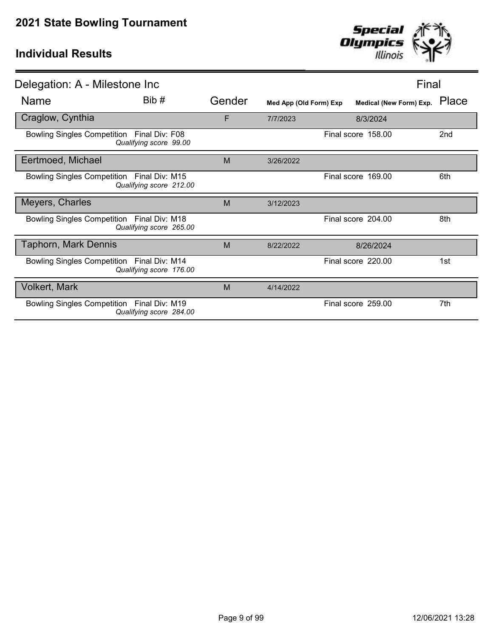

| Delegation: A - Milestone Inc                                         |        |                        |                         | Final |
|-----------------------------------------------------------------------|--------|------------------------|-------------------------|-------|
| Bib #<br>Name                                                         | Gender | Med App (Old Form) Exp | Medical (New Form) Exp. | Place |
| Craglow, Cynthia                                                      | F      | 7/7/2023               | 8/3/2024                |       |
| Bowling Singles Competition Final Div: F08<br>Qualifying score 99.00  |        |                        | Final score 158.00      | 2nd   |
| Eertmoed, Michael                                                     | M      | 3/26/2022              |                         |       |
| Bowling Singles Competition Final Div: M15<br>Qualifying score 212.00 |        |                        | Final score 169.00      | 6th   |
| Meyers, Charles                                                       | M      | 3/12/2023              |                         |       |
| Bowling Singles Competition Final Div: M18<br>Qualifying score 265.00 |        |                        | Final score 204.00      | 8th   |
| <b>Taphorn, Mark Dennis</b>                                           | M      | 8/22/2022              | 8/26/2024               |       |
| Bowling Singles Competition Final Div: M14<br>Qualifying score 176.00 |        |                        | Final score 220.00      | 1st   |
| <b>Volkert, Mark</b>                                                  | M      | 4/14/2022              |                         |       |
| Bowling Singles Competition Final Div: M19<br>Qualifying score 284.00 |        |                        | Final score 259.00      | 7th   |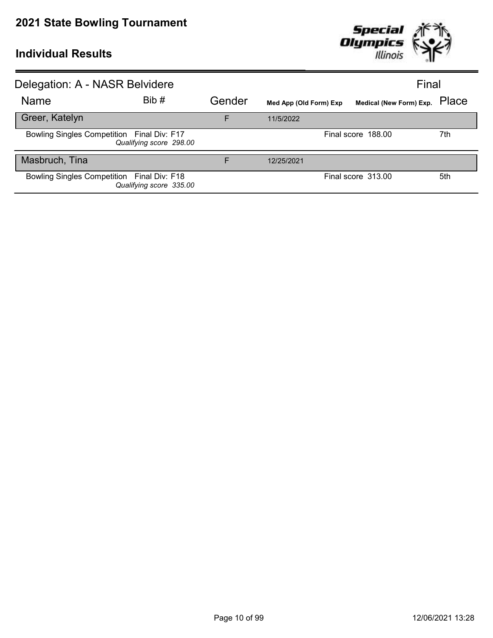

| Delegation: A - NASR Belvidere             |                         |        |                        | Final                         |     |
|--------------------------------------------|-------------------------|--------|------------------------|-------------------------------|-----|
| Name                                       | Bib #                   | Gender | Med App (Old Form) Exp | Medical (New Form) Exp. Place |     |
| Greer, Katelyn                             |                         | E      | 11/5/2022              |                               |     |
| Bowling Singles Competition Final Div: F17 | Qualifying score 298.00 |        |                        | Final score 188.00            | 7th |
| Masbruch, Tina                             |                         | F      | 12/25/2021             |                               |     |
| Bowling Singles Competition Final Div: F18 | Qualifying score 335.00 |        |                        | Final score 313.00            | 5th |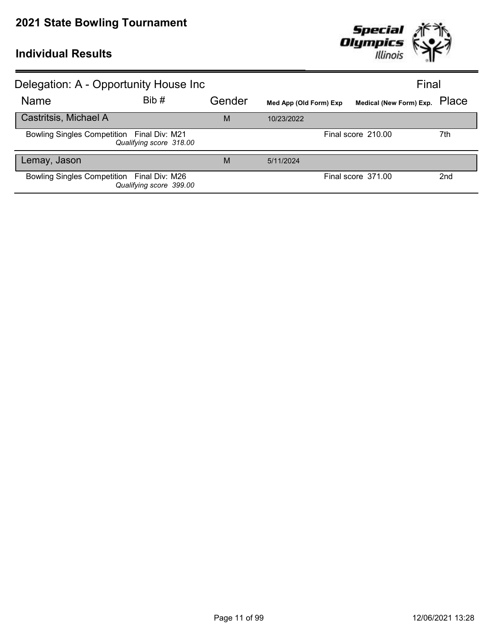

| Delegation: A - Opportunity House Inc      |                         |        |                        | Final                         |                 |
|--------------------------------------------|-------------------------|--------|------------------------|-------------------------------|-----------------|
| Name                                       | Bib #                   | Gender | Med App (Old Form) Exp | Medical (New Form) Exp. Place |                 |
| Castritsis, Michael A                      |                         | M      | 10/23/2022             |                               |                 |
| Bowling Singles Competition Final Div: M21 | Qualifying score 318.00 |        |                        | Final score 210.00            | 7th             |
| Lemay, Jason                               |                         | M      | 5/11/2024              |                               |                 |
| Bowling Singles Competition Final Div: M26 | Qualifying score 399.00 |        |                        | Final score 371.00            | 2 <sub>nd</sub> |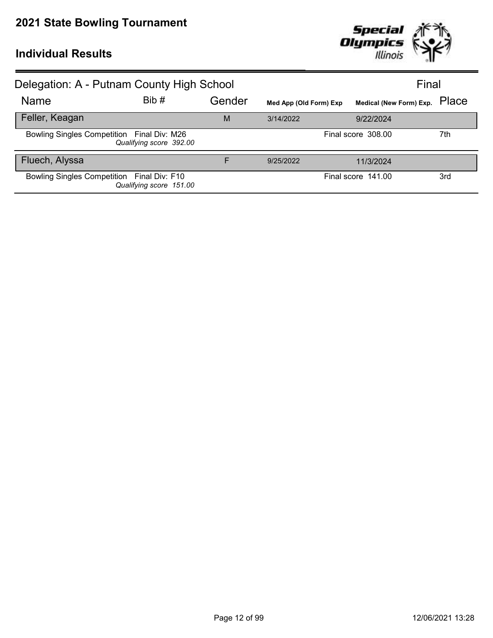

| Delegation: A - Putnam County High School  |                         |        |                        |                               | Final |
|--------------------------------------------|-------------------------|--------|------------------------|-------------------------------|-------|
| Name                                       | Bib#                    | Gender | Med App (Old Form) Exp | Medical (New Form) Exp. Place |       |
| Feller, Keagan                             |                         | M      | 3/14/2022              | 9/22/2024                     |       |
| Bowling Singles Competition Final Div: M26 | Qualifying score 392.00 |        |                        | Final score 308.00            | 7th   |
| Fluech, Alyssa                             |                         | F      | 9/25/2022              | 11/3/2024                     |       |
| Bowling Singles Competition Final Div: F10 | Qualifying score 151.00 |        |                        | Final score 141.00            | 3rd   |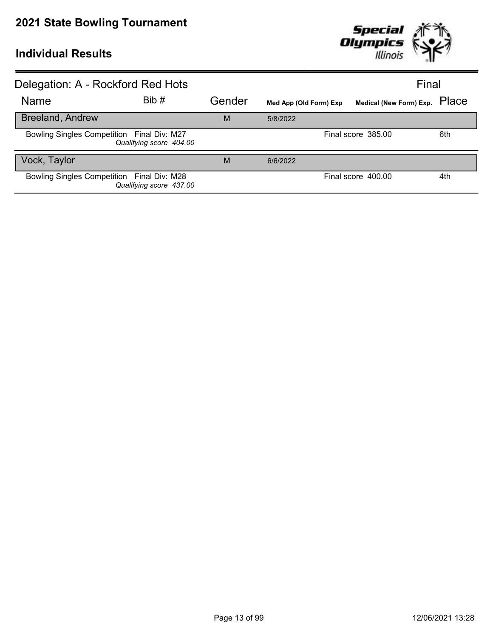

| Delegation: A - Rockford Red Hots          |                         |        |                        | Final                         |     |
|--------------------------------------------|-------------------------|--------|------------------------|-------------------------------|-----|
| Name                                       | Bib #                   | Gender | Med App (Old Form) Exp | Medical (New Form) Exp. Place |     |
| <b>Breeland, Andrew</b>                    |                         | M      | 5/8/2022               |                               |     |
| Bowling Singles Competition Final Div: M27 | Qualifying score 404.00 |        |                        | Final score 385.00            | 6th |
| Vock, Taylor                               |                         | M      | 6/6/2022               |                               |     |
| Bowling Singles Competition Final Div: M28 | Qualifying score 437.00 |        |                        | Final score 400.00            | 4th |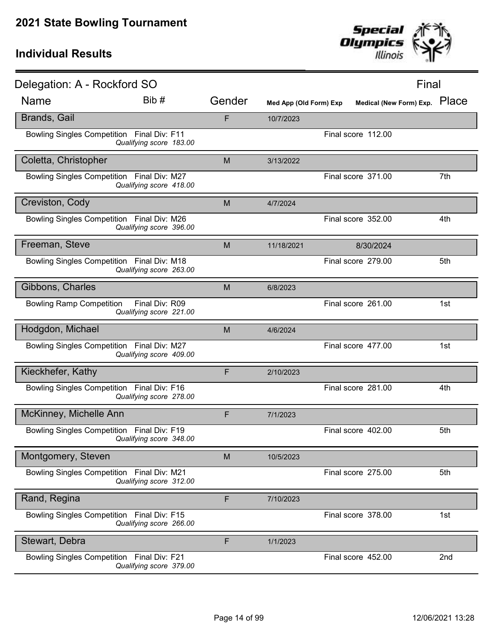

| Delegation: A - Rockford SO                |                                           |        |                        |                         | Final |
|--------------------------------------------|-------------------------------------------|--------|------------------------|-------------------------|-------|
| <b>Name</b>                                | Bib #                                     | Gender | Med App (Old Form) Exp | Medical (New Form) Exp. | Place |
| <b>Brands, Gail</b>                        |                                           | F      | 10/7/2023              |                         |       |
| <b>Bowling Singles Competition</b>         | Final Div: F11<br>Qualifying score 183.00 |        |                        | Final score 112.00      |       |
| Coletta, Christopher                       |                                           | M      | 3/13/2022              |                         |       |
| Bowling Singles Competition Final Div: M27 | Qualifying score 418.00                   |        |                        | Final score 371.00      | 7th   |
| Creviston, Cody                            |                                           | M      | 4/7/2024               |                         |       |
| Bowling Singles Competition Final Div: M26 | Qualifying score 396.00                   |        |                        | Final score 352.00      | 4th   |
| Freeman, Steve                             |                                           | M      | 11/18/2021             | 8/30/2024               |       |
| Bowling Singles Competition Final Div: M18 | Qualifying score 263.00                   |        |                        | Final score 279.00      | 5th   |
| Gibbons, Charles                           |                                           | M      | 6/8/2023               |                         |       |
| <b>Bowling Ramp Competition</b>            | Final Div: R09<br>Qualifying score 221.00 |        |                        | Final score 261.00      | 1st   |
| Hodgdon, Michael                           |                                           | M      | 4/6/2024               |                         |       |
| Bowling Singles Competition Final Div: M27 | Qualifying score 409.00                   |        |                        | Final score 477.00      | 1st   |
| Kieckhefer, Kathy                          |                                           | F      | 2/10/2023              |                         |       |
| Bowling Singles Competition Final Div: F16 | Qualifying score 278.00                   |        |                        | Final score 281.00      | 4th   |
| McKinney, Michelle Ann                     |                                           | F      | 7/1/2023               |                         |       |
| Bowling Singles Competition Final Div: F19 | Qualifying score 348.00                   |        |                        | Final score 402.00      | 5th   |
| Montgomery, Steven                         |                                           | M      | 10/5/2023              |                         |       |
| <b>Bowling Singles Competition</b>         | Final Div: M21<br>Qualifying score 312.00 |        |                        | Final score 275.00      | 5th   |
| Rand, Regina                               |                                           | F      | 7/10/2023              |                         |       |
| Bowling Singles Competition Final Div: F15 | Qualifying score 266.00                   |        |                        | Final score 378.00      | 1st   |
| Stewart, Debra                             |                                           | F      | 1/1/2023               |                         |       |
| Bowling Singles Competition Final Div: F21 | Qualifying score 379.00                   |        |                        | Final score 452.00      | 2nd   |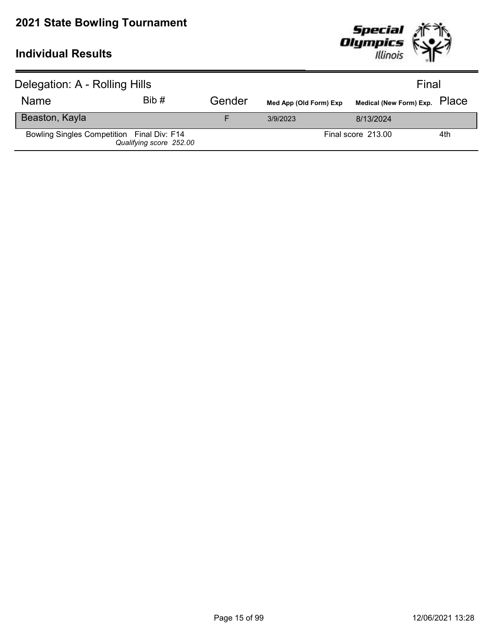

| Delegation: A - Rolling Hills              |                         |        |                        | Final                         |     |
|--------------------------------------------|-------------------------|--------|------------------------|-------------------------------|-----|
| <b>Name</b>                                | Bib#                    | Gender | Med App (Old Form) Exp | Medical (New Form) Exp. PlaCe |     |
| Beaston, Kayla                             |                         |        | 3/9/2023               | 8/13/2024                     |     |
| Bowling Singles Competition Final Div: F14 | Qualifying score 252.00 |        |                        | Final score 213.00            | 4th |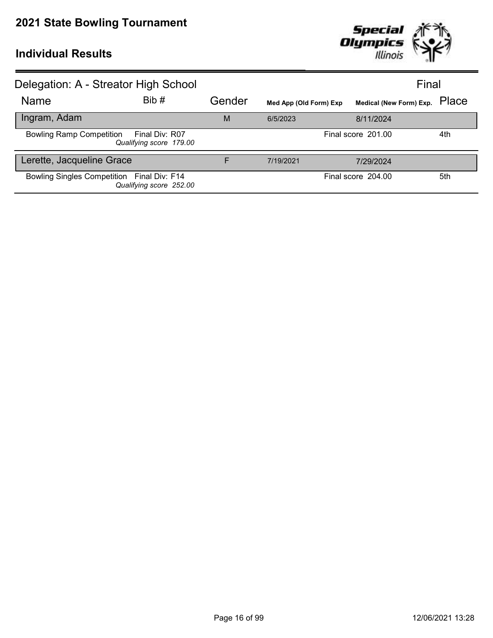

| Delegation: A - Streator High School       |                                           |        |                        |                               | Final |
|--------------------------------------------|-------------------------------------------|--------|------------------------|-------------------------------|-------|
| Name                                       | Bib#                                      | Gender | Med App (Old Form) Exp | Medical (New Form) Exp. Place |       |
| Ingram, Adam                               |                                           | M      | 6/5/2023               | 8/11/2024                     |       |
| <b>Bowling Ramp Competition</b>            | Final Div: R07<br>Qualifying score 179.00 |        |                        | Final score 201.00            | 4th   |
| Lerette, Jacqueline Grace                  |                                           | F      | 7/19/2021              | 7/29/2024                     |       |
| Bowling Singles Competition Final Div: F14 | Qualifying score 252.00                   |        |                        | Final score 204.00            | 5th   |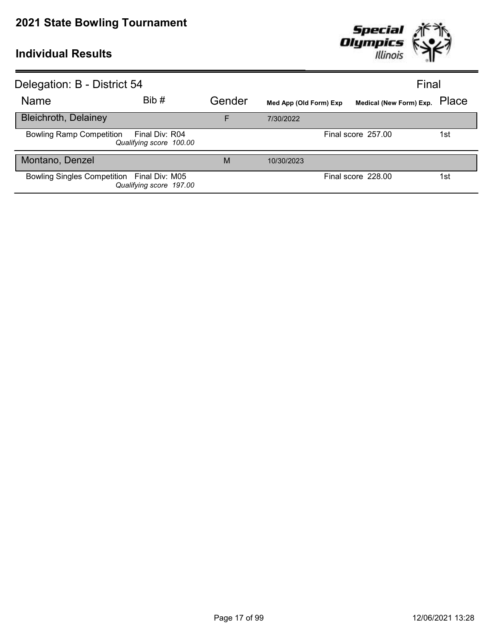

| Delegation: B - District 54                |                                           |        | Final                  |                               |     |
|--------------------------------------------|-------------------------------------------|--------|------------------------|-------------------------------|-----|
| <b>Name</b>                                | Bib#                                      | Gender | Med App (Old Form) Exp | Medical (New Form) Exp. Place |     |
| <b>Bleichroth, Delainey</b>                |                                           | E      | 7/30/2022              |                               |     |
| <b>Bowling Ramp Competition</b>            | Final Div: R04<br>Qualifying score 100.00 |        |                        | Final score 257.00            | 1st |
| Montano, Denzel                            |                                           | M      | 10/30/2023             |                               |     |
| Bowling Singles Competition Final Div: M05 | Qualifying score 197.00                   |        |                        | Final score 228.00            | 1st |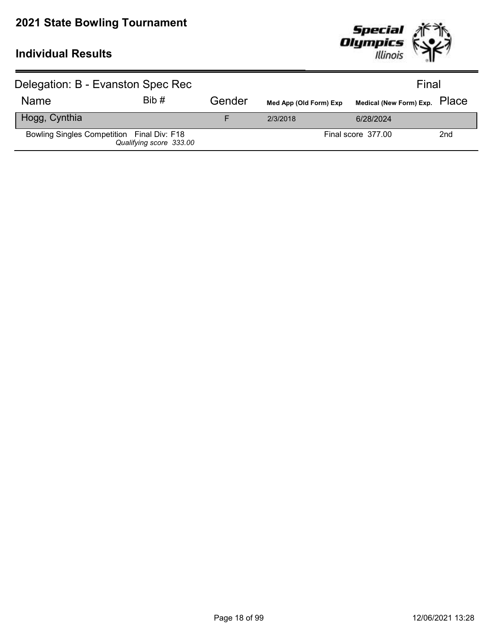

| Delegation: B - Evanston Spec Rec          |                         |        |                        | Final                         |     |  |
|--------------------------------------------|-------------------------|--------|------------------------|-------------------------------|-----|--|
| <b>Name</b>                                | Bib#                    | Gender | Med App (Old Form) Exp | Medical (New Form) Exp. PlaCe |     |  |
| Hogg, Cynthia                              |                         | F      | 2/3/2018               | 6/28/2024                     |     |  |
| Bowling Singles Competition Final Div: F18 | Qualifying score 333.00 |        |                        | Final score 377.00            | 2nd |  |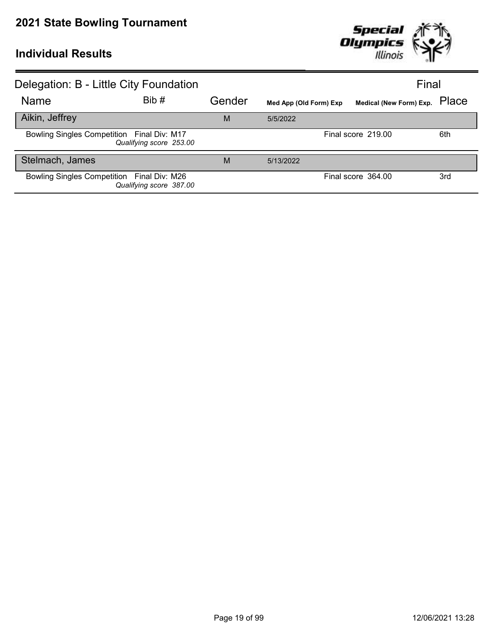

| Delegation: B - Little City Foundation     |                         |        |                        | Final                         |     |
|--------------------------------------------|-------------------------|--------|------------------------|-------------------------------|-----|
| Name                                       | Bib #                   | Gender | Med App (Old Form) Exp | Medical (New Form) Exp. Place |     |
| Aikin, Jeffrey                             |                         | M      | 5/5/2022               |                               |     |
| Bowling Singles Competition Final Div: M17 | Qualifying score 253.00 |        |                        | Final score 219.00            | 6th |
| Stelmach, James                            |                         | M      | 5/13/2022              |                               |     |
| Bowling Singles Competition Final Div: M26 | Qualifying score 387.00 |        |                        | Final score 364.00            | 3rd |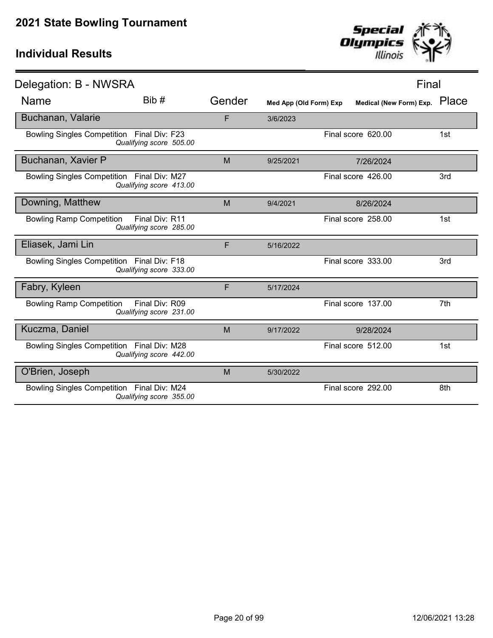

| Delegation: B - NWSRA                      |                                           |        |                        | Final                   |       |
|--------------------------------------------|-------------------------------------------|--------|------------------------|-------------------------|-------|
| Name                                       | Bib#                                      | Gender | Med App (Old Form) Exp | Medical (New Form) Exp. | Place |
| Buchanan, Valarie                          |                                           | F      | 3/6/2023               |                         |       |
| Bowling Singles Competition Final Div: F23 | Qualifying score 505.00                   |        |                        | Final score 620.00      | 1st   |
| Buchanan, Xavier P                         |                                           | M      | 9/25/2021              | 7/26/2024               |       |
| Bowling Singles Competition Final Div: M27 | Qualifying score 413.00                   |        |                        | Final score 426.00      | 3rd   |
| Downing, Matthew                           |                                           | M      | 9/4/2021               | 8/26/2024               |       |
| <b>Bowling Ramp Competition</b>            | Final Div: R11<br>Qualifying score 285.00 |        |                        | Final score 258.00      | 1st   |
| Eliasek, Jami Lin                          |                                           | F      | 5/16/2022              |                         |       |
| Bowling Singles Competition Final Div: F18 | Qualifying score 333.00                   |        |                        | Final score 333.00      | 3rd   |
| Fabry, Kyleen                              |                                           | F      | 5/17/2024              |                         |       |
| <b>Bowling Ramp Competition</b>            | Final Div: R09<br>Qualifying score 231.00 |        |                        | Final score 137.00      | 7th   |
| Kuczma, Daniel                             |                                           | M      | 9/17/2022              | 9/28/2024               |       |
| Bowling Singles Competition Final Div: M28 | Qualifying score 442.00                   |        |                        | Final score 512.00      | 1st   |
| O'Brien, Joseph                            |                                           | M      | 5/30/2022              |                         |       |
| Bowling Singles Competition Final Div: M24 | Qualifying score 355.00                   |        |                        | Final score 292.00      | 8th   |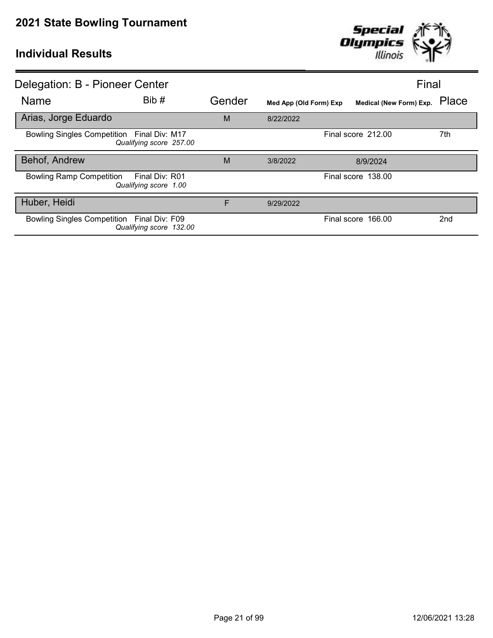

| Delegation: B - Pioneer Center                                             |        |                        |                               | Final           |
|----------------------------------------------------------------------------|--------|------------------------|-------------------------------|-----------------|
| Bib #<br><b>Name</b>                                                       | Gender | Med App (Old Form) Exp | Medical (New Form) Exp. Place |                 |
| Arias, Jorge Eduardo                                                       | M      | 8/22/2022              |                               |                 |
| Bowling Singles Competition Final Div: M17<br>Qualifying score 257.00      |        |                        | Final score 212.00            | 7th             |
| Behof, Andrew                                                              | M      | 3/8/2022               | 8/9/2024                      |                 |
| <b>Bowling Ramp Competition</b><br>Final Div: R01<br>Qualifying score 1.00 |        |                        | Final score 138.00            |                 |
| Huber, Heidi                                                               | F      | 9/29/2022              |                               |                 |
| Bowling Singles Competition Final Div: F09<br>Qualifying score 132.00      |        |                        | Final score 166.00            | 2 <sub>nd</sub> |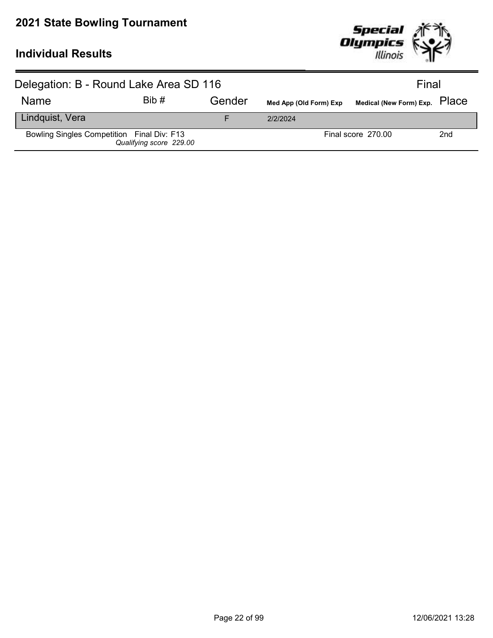

| Delegation: B - Round Lake Area SD 116     |                         |        |                        | Final                         |                 |
|--------------------------------------------|-------------------------|--------|------------------------|-------------------------------|-----------------|
| <b>Name</b>                                | Bib#                    | Gender | Med App (Old Form) Exp | Medical (New Form) Exp. PlaCe |                 |
| Lindquist, Vera                            |                         |        | 2/2/2024               |                               |                 |
| Bowling Singles Competition Final Div: F13 | Qualifying score 229.00 |        |                        | Final score 270.00            | 2 <sub>nd</sub> |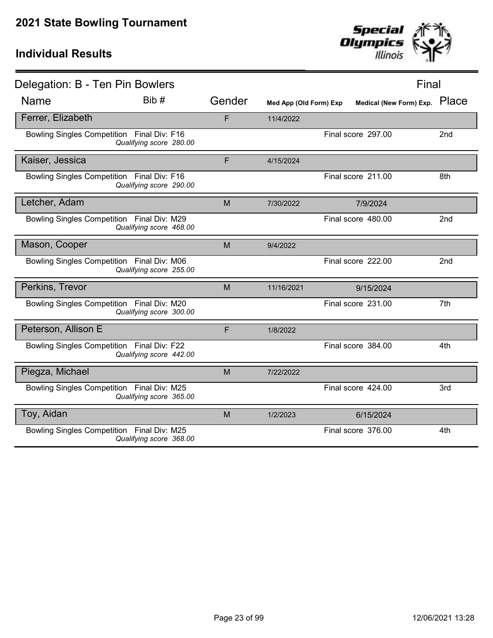

| Delegation: B - Ten Pin Bowlers            |                         |        |                        |                         | Final |                 |
|--------------------------------------------|-------------------------|--------|------------------------|-------------------------|-------|-----------------|
| <b>Name</b>                                | Bib #                   | Gender | Med App (Old Form) Exp | Medical (New Form) Exp. |       | Place           |
| Ferrer, Elizabeth                          |                         | F      | 11/4/2022              |                         |       |                 |
| Bowling Singles Competition Final Div: F16 | Qualifying score 280.00 |        |                        | Final score 297.00      |       | 2 <sub>nd</sub> |
| Kaiser, Jessica                            |                         | F      | 4/15/2024              |                         |       |                 |
| Bowling Singles Competition Final Div: F16 | Qualifying score 290.00 |        |                        | Final score 211.00      |       | 8th             |
| Letcher, Adam                              |                         | M      | 7/30/2022              | 7/9/2024                |       |                 |
| Bowling Singles Competition Final Div: M29 | Qualifying score 468.00 |        |                        | Final score 480.00      |       | 2 <sub>nd</sub> |
| Mason, Cooper                              |                         | M      | 9/4/2022               |                         |       |                 |
| Bowling Singles Competition Final Div: M06 | Qualifying score 255.00 |        |                        | Final score 222.00      |       | 2nd             |
| Perkins, Trevor                            |                         | M      | 11/16/2021             | 9/15/2024               |       |                 |
| Bowling Singles Competition Final Div: M20 | Qualifying score 300.00 |        |                        | Final score 231.00      |       | 7th             |
| Peterson, Allison E                        |                         | F      | 1/8/2022               |                         |       |                 |
| Bowling Singles Competition Final Div: F22 | Qualifying score 442.00 |        |                        | Final score 384.00      |       | 4th             |
| Piegza, Michael                            |                         | M      | 7/22/2022              |                         |       |                 |
| Bowling Singles Competition Final Div: M25 | Qualifying score 365.00 |        |                        | Final score 424.00      |       | 3rd             |
| Toy, Aidan                                 |                         | M      | 1/2/2023               | 6/15/2024               |       |                 |
| Bowling Singles Competition Final Div: M25 | Qualifying score 368.00 |        |                        | Final score 376.00      |       | 4th             |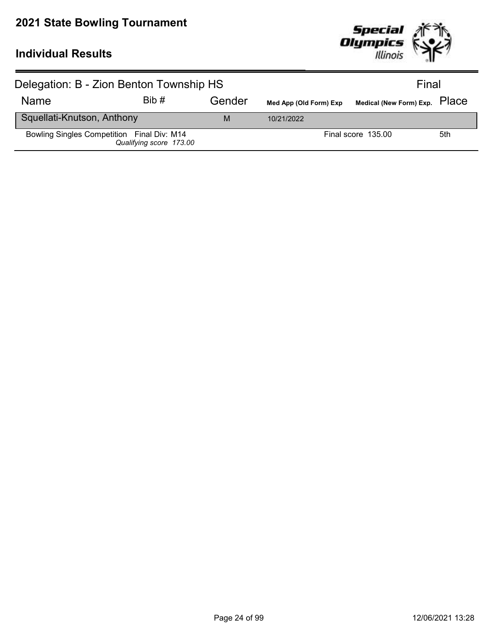

| Delegation: B - Zion Benton Township HS    |                         |        | Final                  |                               |     |
|--------------------------------------------|-------------------------|--------|------------------------|-------------------------------|-----|
| <b>Name</b>                                | Bib#                    | Gender | Med App (Old Form) Exp | Medical (New Form) Exp. PlaCe |     |
| Squellati-Knutson, Anthony                 |                         | M      | 10/21/2022             |                               |     |
| Bowling Singles Competition Final Div: M14 | Qualifying score 173.00 |        |                        | Final score 135.00            | 5th |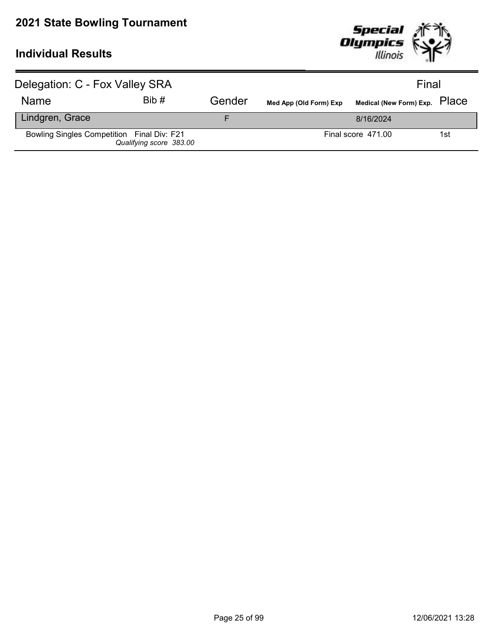

| Delegation: C - Fox Valley SRA             |                         |        |                        | Final                         |     |
|--------------------------------------------|-------------------------|--------|------------------------|-------------------------------|-----|
| <b>Name</b>                                | Bib#                    | Gender | Med App (Old Form) Exp | Medical (New Form) Exp. Place |     |
| Lindgren, Grace                            |                         |        |                        | 8/16/2024                     |     |
| Bowling Singles Competition Final Div: F21 | Qualifying score 383.00 |        |                        | Final score 471.00            | 1st |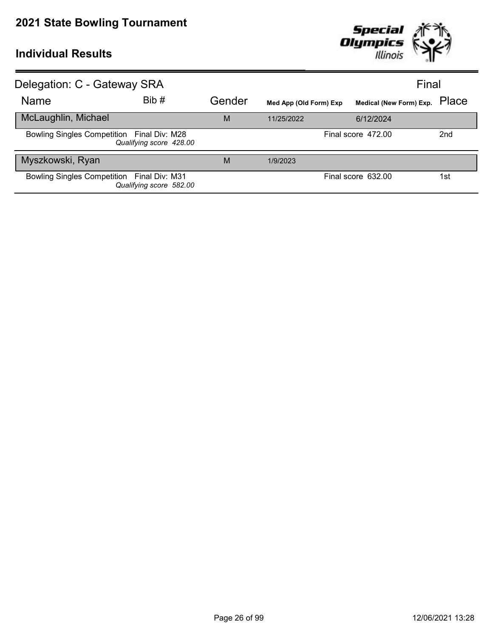

| Delegation: C - Gateway SRA                |                         |        |                        |                         | Final           |
|--------------------------------------------|-------------------------|--------|------------------------|-------------------------|-----------------|
| Name                                       | Bib#                    | Gender | Med App (Old Form) Exp | Medical (New Form) Exp. | Place           |
| McLaughlin, Michael                        |                         | M      | 11/25/2022             | 6/12/2024               |                 |
| Bowling Singles Competition Final Div: M28 | Qualifying score 428.00 |        |                        | Final score 472.00      | 2 <sub>nd</sub> |
| Myszkowski, Ryan                           |                         | M      | 1/9/2023               |                         |                 |
| Bowling Singles Competition Final Div: M31 | Qualifying score 582.00 |        |                        | Final score 632.00      | 1st             |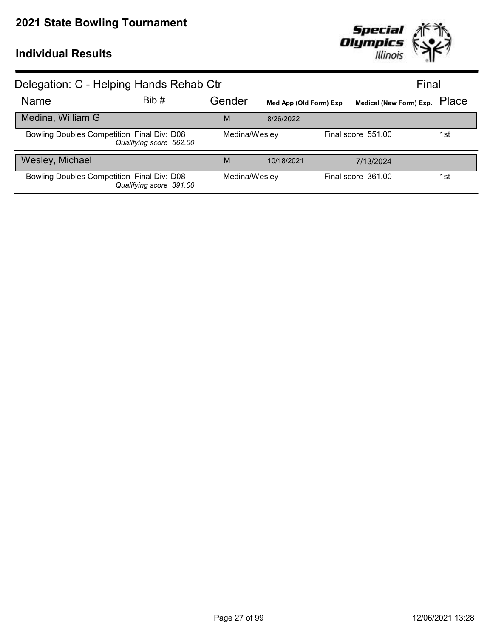

| Delegation: C - Helping Hands Rehab Ctr    |                         |               |                        |                               | Final |
|--------------------------------------------|-------------------------|---------------|------------------------|-------------------------------|-------|
| Name                                       | Bib #                   | Gender        | Med App (Old Form) Exp | Medical (New Form) Exp. Place |       |
| Medina, William G                          |                         | M             | 8/26/2022              |                               |       |
| Bowling Doubles Competition Final Div: D08 | Qualifying score 562.00 | Medina/Wesley |                        | Final score 551.00            | 1st   |
| Wesley, Michael                            |                         | M             | 10/18/2021             | 7/13/2024                     |       |
| Bowling Doubles Competition Final Div: D08 | Qualifying score 391.00 | Medina/Wesley |                        | Final score 361.00            | 1st   |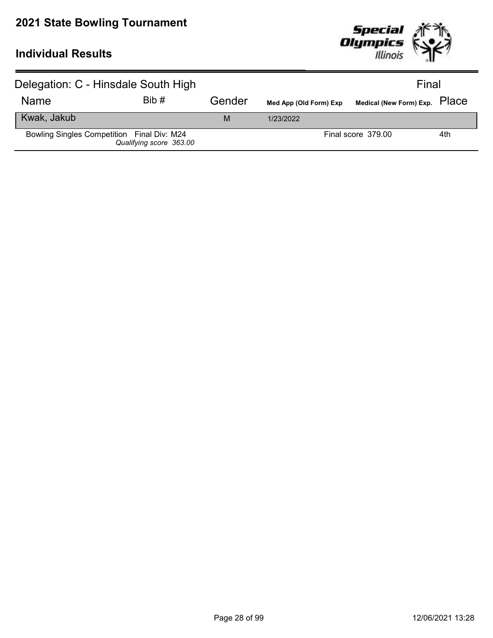

| Delegation: C - Hinsdale South High        |                         |        |                        | Final                         |     |
|--------------------------------------------|-------------------------|--------|------------------------|-------------------------------|-----|
| <b>Name</b>                                | Bib#                    | Gender | Med App (Old Form) Exp | Medical (New Form) Exp. PlaCe |     |
| Kwak, Jakub                                |                         | M      | 1/23/2022              |                               |     |
| Bowling Singles Competition Final Div: M24 | Qualifying score 363.00 |        |                        | Final score 379.00            | 4th |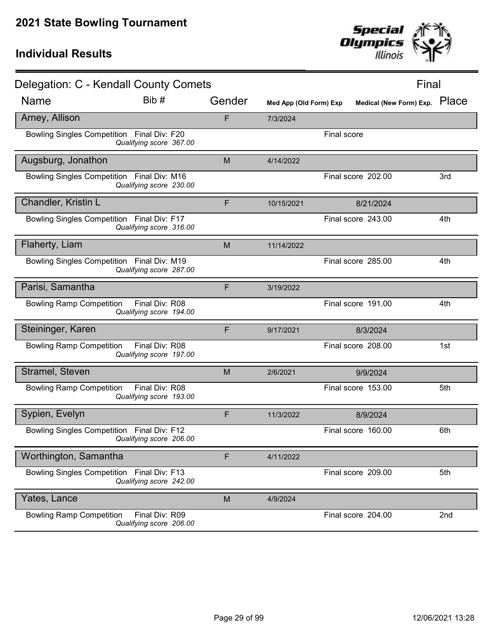

| Delegation: C - Kendall County Comets      |                                           |        |                        |             |                         | Final |
|--------------------------------------------|-------------------------------------------|--------|------------------------|-------------|-------------------------|-------|
| Name                                       | Bib #                                     | Gender | Med App (Old Form) Exp |             | Medical (New Form) Exp. | Place |
| Arney, Allison                             |                                           | F      | 7/3/2024               |             |                         |       |
| Bowling Singles Competition Final Div: F20 | Qualifying score 367.00                   |        |                        | Final score |                         |       |
| Augsburg, Jonathon                         |                                           | M      | 4/14/2022              |             |                         |       |
| Bowling Singles Competition Final Div: M16 | Qualifying score 230.00                   |        |                        |             | Final score 202.00      | 3rd   |
| Chandler, Kristin L                        |                                           | F      | 10/15/2021             |             | 8/21/2024               |       |
| Bowling Singles Competition Final Div: F17 | Qualifying score 316.00                   |        |                        |             | Final score 243.00      | 4th   |
| Flaherty, Liam                             |                                           | M      | 11/14/2022             |             |                         |       |
| Bowling Singles Competition Final Div: M19 | Qualifying score 287.00                   |        |                        |             | Final score 285.00      | 4th   |
| Parisi, Samantha                           |                                           | F      | 3/19/2022              |             |                         |       |
| <b>Bowling Ramp Competition</b>            | Final Div: R08<br>Qualifying score 194.00 |        |                        |             | Final score 191.00      | 4th   |
| Steininger, Karen                          |                                           | F      | 9/17/2021              |             | 8/3/2024                |       |
| <b>Bowling Ramp Competition</b>            | Final Div: R08<br>Qualifying score 197.00 |        |                        |             | Final score 208.00      | 1st   |
| Stramel, Steven                            |                                           | M      | 2/6/2021               |             | 9/9/2024                |       |
| <b>Bowling Ramp Competition</b>            | Final Div: R08<br>Qualifying score 193.00 |        |                        |             | Final score 153.00      | 5th   |
| Sypien, Evelyn                             |                                           | F      | 11/3/2022              |             | 8/9/2024                |       |
| Bowling Singles Competition Final Div: F12 | Qualifying score 206.00                   |        |                        |             | Final score 160.00      | 6th   |
| Worthington, Samantha                      |                                           | F      | 4/11/2022              |             |                         |       |
| Bowling Singles Competition Final Div: F13 | Qualifying score 242.00                   |        |                        |             | Final score 209.00      | 5th   |
| Yates, Lance                               |                                           | M      | 4/9/2024               |             |                         |       |
| <b>Bowling Ramp Competition</b>            | Final Div: R09<br>Qualifying score 206.00 |        |                        |             | Final score 204.00      | 2nd   |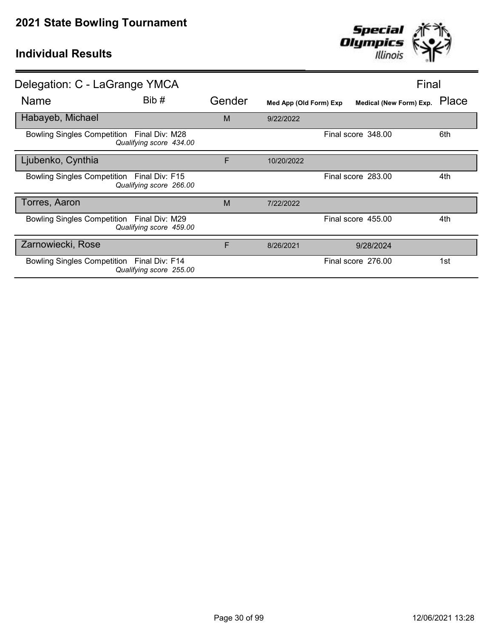

| Delegation: C - LaGrange YMCA              |                                           |        |                        | Final                   |       |
|--------------------------------------------|-------------------------------------------|--------|------------------------|-------------------------|-------|
| Name                                       | Bib #                                     | Gender | Med App (Old Form) Exp | Medical (New Form) Exp. | Place |
| Habayeb, Michael                           |                                           | M      | 9/22/2022              |                         |       |
| Bowling Singles Competition Final Div: M28 | Qualifying score 434.00                   |        |                        | Final score 348.00      | 6th   |
| Ljubenko, Cynthia                          |                                           | F      | 10/20/2022             |                         |       |
| Bowling Singles Competition Final Div: F15 | Qualifying score 266.00                   |        |                        | Final score 283.00      | 4th   |
| Torres, Aaron                              |                                           | M      | 7/22/2022              |                         |       |
| Bowling Singles Competition Final Div: M29 | Qualifying score 459.00                   |        |                        | Final score 455.00      | 4th   |
| Zarnowiecki, Rose                          |                                           | F      | 8/26/2021              | 9/28/2024               |       |
| <b>Bowling Singles Competition</b>         | Final Div: F14<br>Qualifying score 255.00 |        |                        | Final score 276.00      | 1st   |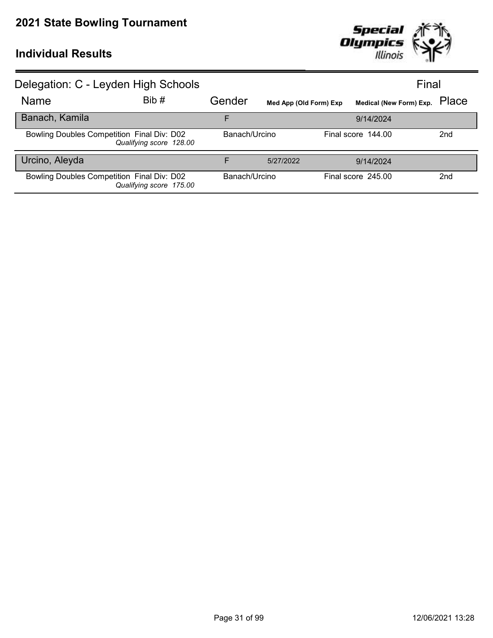

| Delegation: C - Leyden High Schools        |                         |               |                        |                               | Final |                 |
|--------------------------------------------|-------------------------|---------------|------------------------|-------------------------------|-------|-----------------|
| Name                                       | Bib#                    | Gender        | Med App (Old Form) Exp | Medical (New Form) Exp. Place |       |                 |
| Banach, Kamila                             |                         | F             |                        | 9/14/2024                     |       |                 |
| Bowling Doubles Competition Final Div: D02 | Qualifying score 128.00 | Banach/Urcino |                        | Final score 144.00            |       | 2 <sub>nd</sub> |
| Urcino, Aleyda                             |                         | F             | 5/27/2022              | 9/14/2024                     |       |                 |
| Bowling Doubles Competition Final Div: D02 | Qualifying score 175.00 | Banach/Urcino |                        | Final score 245.00            |       | 2 <sub>nd</sub> |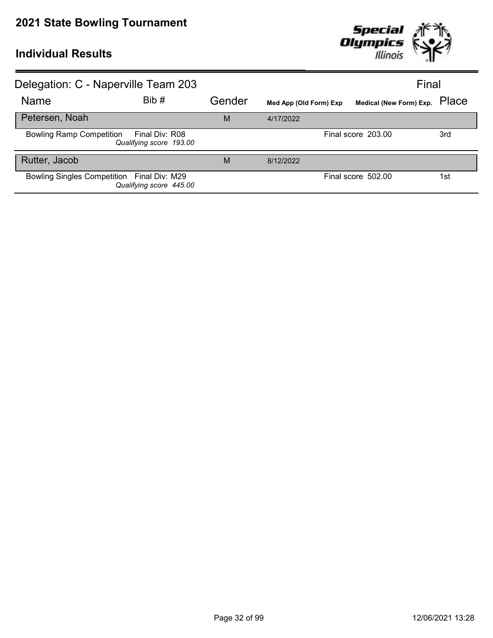

| Delegation: C - Naperville Team 203        |                                           |        |                        | Final                         |     |
|--------------------------------------------|-------------------------------------------|--------|------------------------|-------------------------------|-----|
| Name                                       | Bib#                                      | Gender | Med App (Old Form) Exp | Medical (New Form) Exp. Place |     |
| Petersen, Noah                             |                                           | M      | 4/17/2022              |                               |     |
| <b>Bowling Ramp Competition</b>            | Final Div: R08<br>Qualifying score 193.00 |        |                        | Final score 203.00            | 3rd |
| Rutter, Jacob                              |                                           | M      | 8/12/2022              |                               |     |
| Bowling Singles Competition Final Div: M29 | Qualifying score 445.00                   |        |                        | Final score 502.00            | 1st |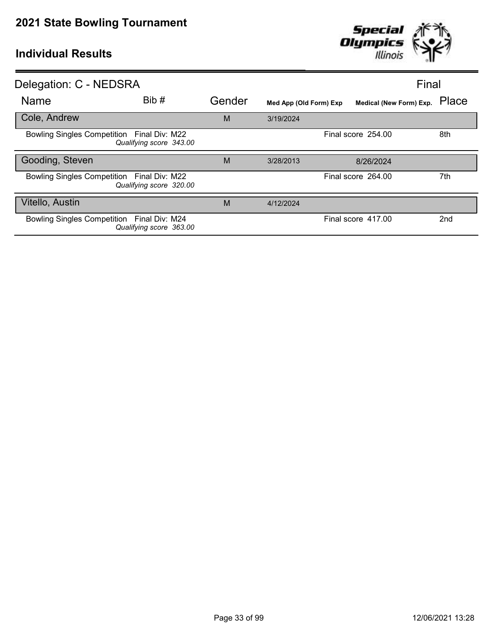

| Gender |           |           | Place                                                                                                                        |
|--------|-----------|-----------|------------------------------------------------------------------------------------------------------------------------------|
| M      | 3/19/2024 |           |                                                                                                                              |
|        |           |           | 8th                                                                                                                          |
| M      | 3/28/2013 | 8/26/2024 |                                                                                                                              |
|        |           |           | 7th                                                                                                                          |
| M      | 4/12/2024 |           |                                                                                                                              |
|        |           |           | 2nd                                                                                                                          |
|        |           |           | Final<br>Medical (New Form) Exp.<br>Med App (Old Form) Exp<br>Final score 254.00<br>Final score 264.00<br>Final score 417.00 |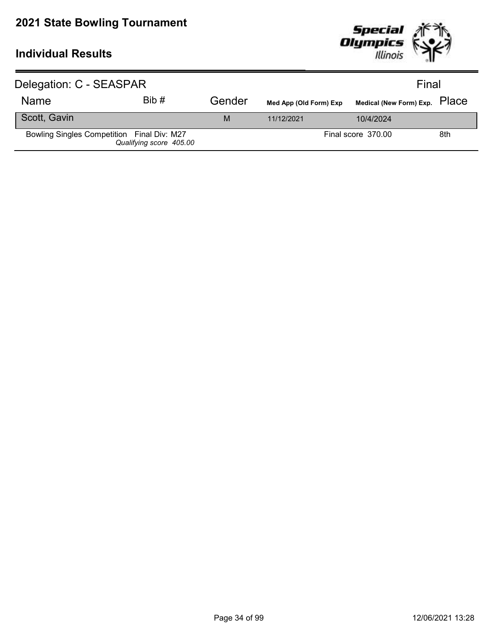

| Delegation: C - SEASPAR                    |                         |        |                        | Final                         |     |  |
|--------------------------------------------|-------------------------|--------|------------------------|-------------------------------|-----|--|
| Name                                       | Bib#                    | Gender | Med App (Old Form) Exp | Medical (New Form) Exp. PlaCe |     |  |
| Scott, Gavin                               |                         | M      | 11/12/2021             | 10/4/2024                     |     |  |
| Bowling Singles Competition Final Div: M27 | Qualifying score 405.00 |        |                        | Final score 370.00            | 8th |  |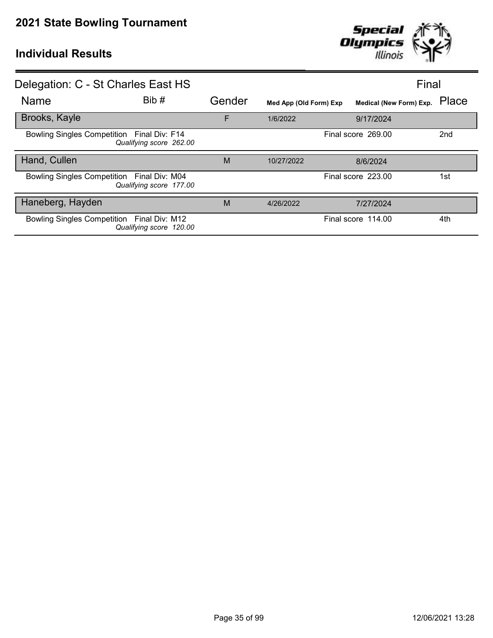

| Delegation: C - St Charles East HS                                    |        |                        |                         | Final           |
|-----------------------------------------------------------------------|--------|------------------------|-------------------------|-----------------|
| Bib#<br><b>Name</b>                                                   | Gender | Med App (Old Form) Exp | Medical (New Form) Exp. | Place           |
| Brooks, Kayle                                                         | F      | 1/6/2022               | 9/17/2024               |                 |
| Bowling Singles Competition Final Div: F14<br>Qualifying score 262.00 |        |                        | Final score 269.00      | 2 <sub>nd</sub> |
| Hand, Cullen                                                          | M      | 10/27/2022             | 8/6/2024                |                 |
| Bowling Singles Competition Final Div: M04<br>Qualifying score 177.00 |        |                        | Final score 223.00      | 1st             |
| Haneberg, Hayden                                                      | M      | 4/26/2022              | 7/27/2024               |                 |
| Bowling Singles Competition Final Div: M12<br>Qualifying score 120.00 |        |                        | Final score 114.00      | 4th             |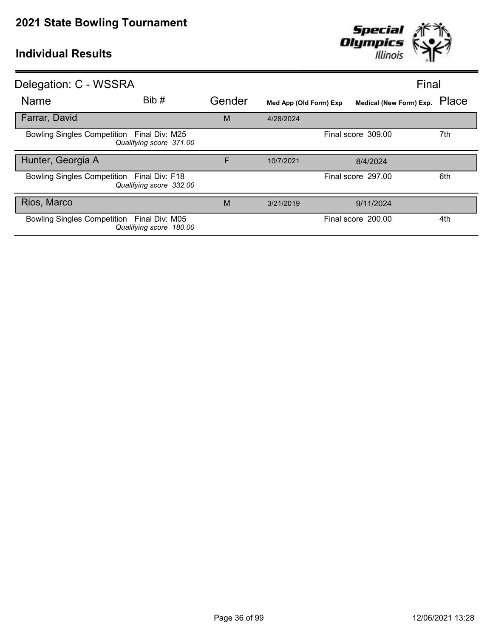

| Delegation: C - WSSRA                                                 |        |                        | Final                   |       |
|-----------------------------------------------------------------------|--------|------------------------|-------------------------|-------|
| Bib #<br><b>Name</b>                                                  | Gender | Med App (Old Form) Exp | Medical (New Form) Exp. | Place |
| Farrar, David                                                         | M      | 4/28/2024              |                         |       |
| Bowling Singles Competition Final Div: M25<br>Qualifying score 371.00 |        |                        | Final score 309.00      | 7th   |
| Hunter, Georgia A                                                     | F      | 10/7/2021              | 8/4/2024                |       |
| Bowling Singles Competition Final Div: F18<br>Qualifying score 332.00 |        |                        | Final score 297.00      | 6th   |
| Rios, Marco                                                           | M      | 3/21/2019              | 9/11/2024               |       |
| Bowling Singles Competition Final Div: M05<br>Qualifying score 180.00 |        |                        | Final score 200.00      | 4th   |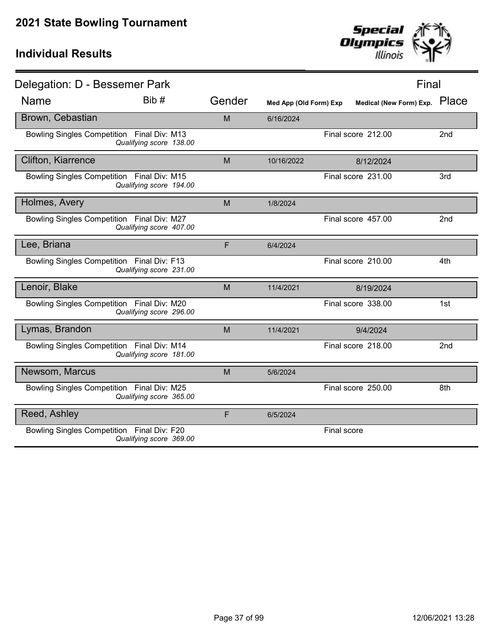

| Delegation: D - Bessemer Park              |                         |        |                        |             |                         | Final           |
|--------------------------------------------|-------------------------|--------|------------------------|-------------|-------------------------|-----------------|
| <b>Name</b>                                | Bib #                   | Gender | Med App (Old Form) Exp |             | Medical (New Form) Exp. | Place           |
| Brown, Cebastian                           |                         | M      | 6/16/2024              |             |                         |                 |
| Bowling Singles Competition Final Div: M13 | Qualifying score 138.00 |        |                        |             | Final score 212.00      | 2nd             |
| <b>Clifton, Kiarrence</b>                  |                         | M      | 10/16/2022             |             | 8/12/2024               |                 |
| Bowling Singles Competition Final Div: M15 | Qualifying score 194.00 |        |                        |             | Final score 231.00      | 3rd             |
| Holmes, Avery                              |                         | M      | 1/8/2024               |             |                         |                 |
| Bowling Singles Competition Final Div: M27 | Qualifying score 407.00 |        |                        |             | Final score 457.00      | 2 <sub>nd</sub> |
| Lee, Briana                                |                         | F      | 6/4/2024               |             |                         |                 |
| Bowling Singles Competition Final Div: F13 | Qualifying score 231.00 |        |                        |             | Final score 210.00      | 4th             |
| Lenoir, Blake                              |                         | M      | 11/4/2021              |             | 8/19/2024               |                 |
| Bowling Singles Competition Final Div: M20 | Qualifying score 296.00 |        |                        |             | Final score 338.00      | 1st             |
| Lymas, Brandon                             |                         | M      | 11/4/2021              |             | 9/4/2024                |                 |
| Bowling Singles Competition Final Div: M14 | Qualifying score 181.00 |        |                        |             | Final score 218.00      | 2 <sub>nd</sub> |
| Newsom, Marcus                             |                         | M      | 5/6/2024               |             |                         |                 |
| Bowling Singles Competition Final Div: M25 | Qualifying score 365.00 |        |                        |             | Final score 250.00      | 8th             |
| Reed, Ashley                               |                         | F      | 6/5/2024               |             |                         |                 |
| Bowling Singles Competition Final Div: F20 | Qualifying score 369.00 |        |                        | Final score |                         |                 |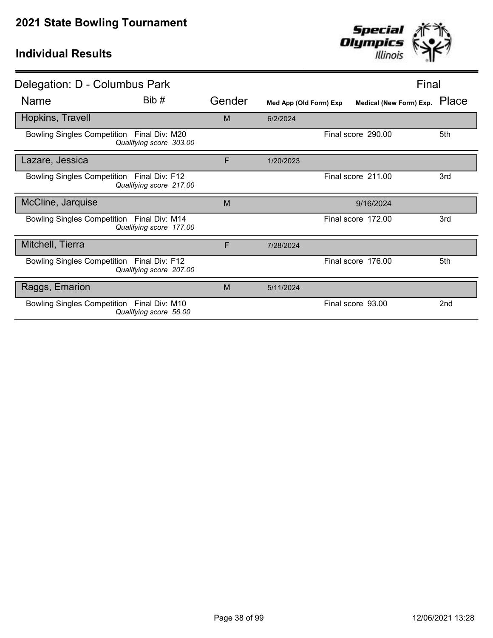

| Delegation: D - Columbus Park                                         |        |                        |                    | Final                   |                 |
|-----------------------------------------------------------------------|--------|------------------------|--------------------|-------------------------|-----------------|
| Bib #<br><b>Name</b>                                                  | Gender | Med App (Old Form) Exp |                    | Medical (New Form) Exp. | Place           |
| Hopkins, Travell                                                      | M      | 6/2/2024               |                    |                         |                 |
| Bowling Singles Competition Final Div: M20<br>Qualifying score 303.00 |        |                        | Final score 290.00 |                         | 5th             |
| Lazare, Jessica                                                       | F      | 1/20/2023              |                    |                         |                 |
| Bowling Singles Competition Final Div: F12<br>Qualifying score 217.00 |        |                        | Final score 211.00 |                         | 3rd             |
| McCline, Jarquise                                                     | M      |                        |                    | 9/16/2024               |                 |
| Bowling Singles Competition Final Div: M14<br>Qualifying score 177.00 |        |                        | Final score 172.00 |                         | 3rd             |
| Mitchell, Tierra                                                      | F      | 7/28/2024              |                    |                         |                 |
| Bowling Singles Competition Final Div: F12<br>Qualifying score 207.00 |        |                        | Final score 176.00 |                         | 5th             |
| Raggs, Emarion                                                        | M      | 5/11/2024              |                    |                         |                 |
| Bowling Singles Competition Final Div: M10<br>Qualifying score 56.00  |        |                        | Final score 93.00  |                         | 2 <sub>nd</sub> |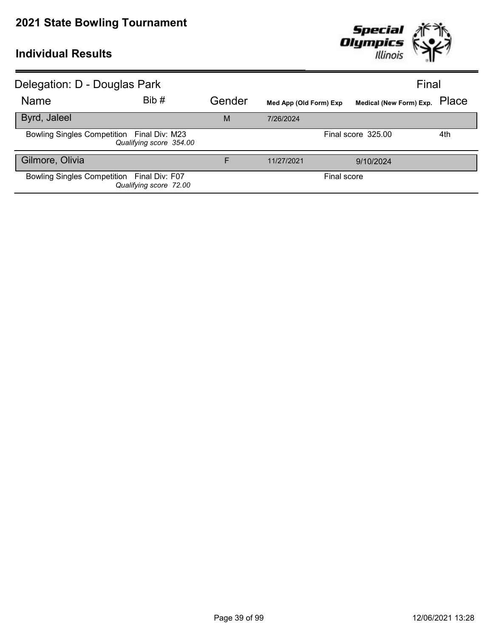

| Delegation: D - Douglas Park               |                         |        |                        | Final                   |       |
|--------------------------------------------|-------------------------|--------|------------------------|-------------------------|-------|
| <b>Name</b>                                | Bib#                    | Gender | Med App (Old Form) Exp | Medical (New Form) Exp. | Place |
| Byrd, Jaleel                               |                         | M      | 7/26/2024              |                         |       |
| Bowling Singles Competition Final Div: M23 | Qualifying score 354.00 |        |                        | Final score 325.00      | 4th   |
| Gilmore, Olivia                            |                         | F      | 11/27/2021             | 9/10/2024               |       |
| Bowling Singles Competition Final Div: F07 | Qualifying score 72.00  |        | Final score            |                         |       |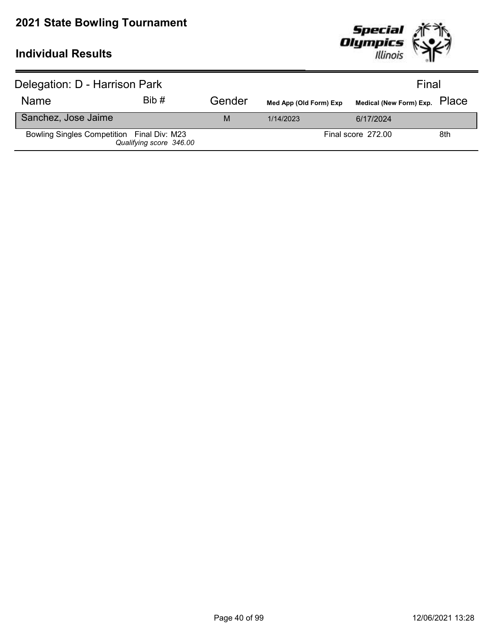

| Delegation: D - Harrison Park              |                         |        |                        | Final                         |     |
|--------------------------------------------|-------------------------|--------|------------------------|-------------------------------|-----|
| <b>Name</b>                                | Bib#                    | Gender | Med App (Old Form) Exp | Medical (New Form) Exp. PlaCe |     |
| Sanchez, Jose Jaime                        |                         | M      | 1/14/2023              | 6/17/2024                     |     |
| Bowling Singles Competition Final Div: M23 | Qualifying score 346.00 |        |                        | Final score 272.00            | 8th |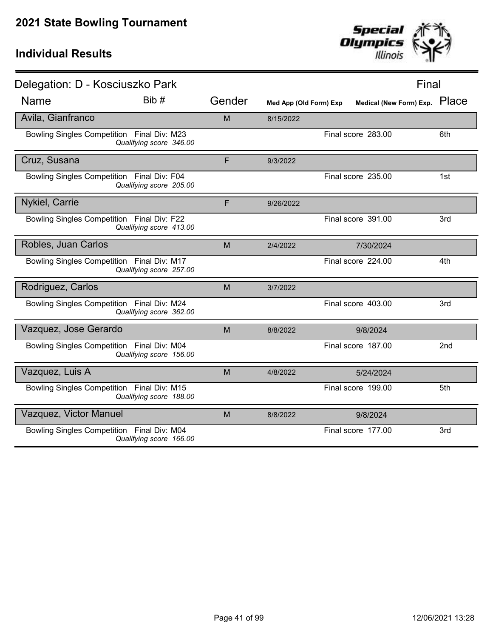

| Delegation: D - Kosciuszko Park            |                         |        |                        |                               | Final           |
|--------------------------------------------|-------------------------|--------|------------------------|-------------------------------|-----------------|
| <b>Name</b>                                | Bib#                    | Gender | Med App (Old Form) Exp | Medical (New Form) Exp. Place |                 |
| Avila, Gianfranco                          |                         | M      | 8/15/2022              |                               |                 |
| Bowling Singles Competition Final Div: M23 | Qualifying score 346.00 |        |                        | Final score 283.00            | 6th             |
| Cruz, Susana                               |                         | F      | 9/3/2022               |                               |                 |
| Bowling Singles Competition Final Div: F04 | Qualifying score 205.00 |        |                        | Final score 235.00            | 1st             |
| Nykiel, Carrie                             |                         | F      | 9/26/2022              |                               |                 |
| Bowling Singles Competition Final Div: F22 | Qualifying score 413.00 |        |                        | Final score 391.00            | 3rd             |
| Robles, Juan Carlos                        |                         | M      | 2/4/2022               | 7/30/2024                     |                 |
| Bowling Singles Competition Final Div: M17 | Qualifying score 257.00 |        |                        | Final score 224.00            | 4th             |
| Rodriguez, Carlos                          |                         | M      | 3/7/2022               |                               |                 |
| Bowling Singles Competition Final Div: M24 | Qualifying score 362.00 |        |                        | Final score 403.00            | 3rd             |
| Vazquez, Jose Gerardo                      |                         | M      | 8/8/2022               | 9/8/2024                      |                 |
| Bowling Singles Competition Final Div: M04 | Qualifying score 156.00 |        |                        | Final score 187.00            | 2 <sub>nd</sub> |
| Vazquez, Luis A                            |                         | M      | 4/8/2022               | 5/24/2024                     |                 |
| Bowling Singles Competition Final Div: M15 | Qualifying score 188.00 |        |                        | Final score 199.00            | 5th             |
| Vazquez, Victor Manuel                     |                         | M      | 8/8/2022               | 9/8/2024                      |                 |
| Bowling Singles Competition Final Div: M04 | Qualifying score 166.00 |        |                        | Final score 177.00            | 3rd             |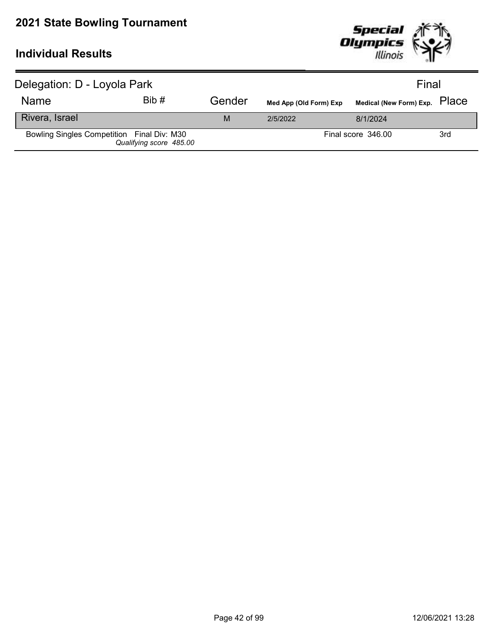

| Delegation: D - Loyola Park                |                         |        | Final                  |                               |     |
|--------------------------------------------|-------------------------|--------|------------------------|-------------------------------|-----|
| <b>Name</b>                                | Bib#                    | Gender | Med App (Old Form) Exp | Medical (New Form) Exp. PlaCe |     |
| Rivera, Israel                             |                         | M      | 2/5/2022               | 8/1/2024                      |     |
| Bowling Singles Competition Final Div: M30 | Qualifying score 485.00 |        |                        | Final score 346.00            | 3rd |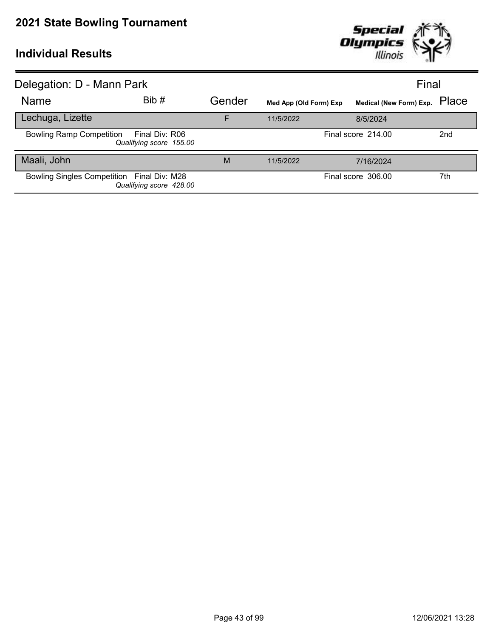

| Delegation: D - Mann Park                  |                                           |        |                        |                         | Final           |
|--------------------------------------------|-------------------------------------------|--------|------------------------|-------------------------|-----------------|
| Name                                       | Bib #                                     | Gender | Med App (Old Form) Exp | Medical (New Form) Exp. | Place           |
| Lechuga, Lizette                           |                                           | F      | 11/5/2022              | 8/5/2024                |                 |
| <b>Bowling Ramp Competition</b>            | Final Div: R06<br>Qualifying score 155.00 |        |                        | Final score 214.00      | 2 <sub>nd</sub> |
| Maali, John                                |                                           | M      | 11/5/2022              | 7/16/2024               |                 |
| Bowling Singles Competition Final Div: M28 | Qualifying score 428.00                   |        |                        | Final score 306.00      | 7th             |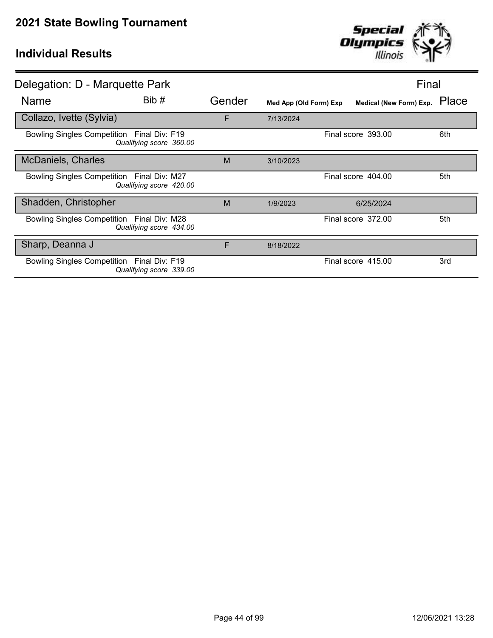

| Delegation: D - Marquette Park             |                         |        |                        | Final                   |       |
|--------------------------------------------|-------------------------|--------|------------------------|-------------------------|-------|
| <b>Name</b>                                | Bib#                    | Gender | Med App (Old Form) Exp | Medical (New Form) Exp. | Place |
| Collazo, Ivette (Sylvia)                   |                         | F      | 7/13/2024              |                         |       |
| Bowling Singles Competition Final Div: F19 | Qualifying score 360.00 |        |                        | Final score 393.00      | 6th   |
| <b>McDaniels, Charles</b>                  |                         | M      | 3/10/2023              |                         |       |
| Bowling Singles Competition Final Div: M27 | Qualifying score 420.00 |        |                        | Final score 404.00      | 5th   |
| Shadden, Christopher                       |                         | M      | 1/9/2023               | 6/25/2024               |       |
| Bowling Singles Competition Final Div: M28 | Qualifying score 434.00 |        |                        | Final score 372.00      | 5th   |
| Sharp, Deanna J                            |                         | F      | 8/18/2022              |                         |       |
| Bowling Singles Competition Final Div: F19 | Qualifying score 339.00 |        |                        | Final score 415.00      | 3rd   |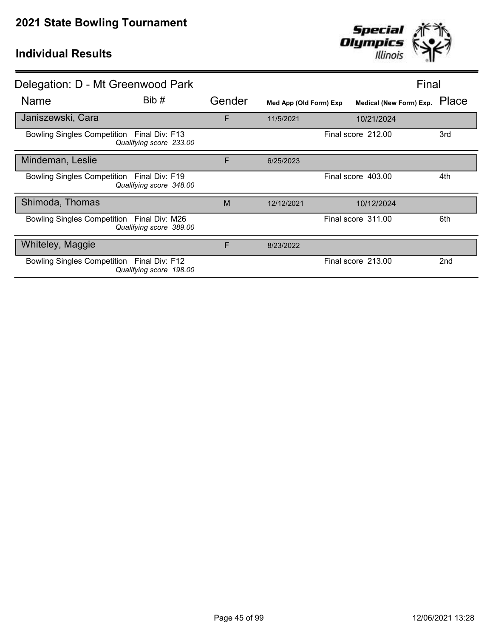

| Delegation: D - Mt Greenwood Park          |                         |        |                        |                         | Final           |
|--------------------------------------------|-------------------------|--------|------------------------|-------------------------|-----------------|
| Name                                       | Bib#                    | Gender | Med App (Old Form) Exp | Medical (New Form) Exp. | Place           |
| Janiszewski, Cara                          |                         | F      | 11/5/2021              | 10/21/2024              |                 |
| Bowling Singles Competition Final Div: F13 | Qualifying score 233.00 |        |                        | Final score 212.00      | 3rd             |
| Mindeman, Leslie                           |                         | F      | 6/25/2023              |                         |                 |
| Bowling Singles Competition Final Div: F19 | Qualifying score 348.00 |        |                        | Final score 403.00      | 4th             |
| Shimoda, Thomas                            |                         | M      | 12/12/2021             | 10/12/2024              |                 |
| Bowling Singles Competition Final Div: M26 | Qualifying score 389.00 |        |                        | Final score 311.00      | 6th             |
| Whiteley, Maggie                           |                         | F      | 8/23/2022              |                         |                 |
| Bowling Singles Competition Final Div: F12 | Qualifying score 198.00 |        |                        | Final score 213.00      | 2 <sub>nd</sub> |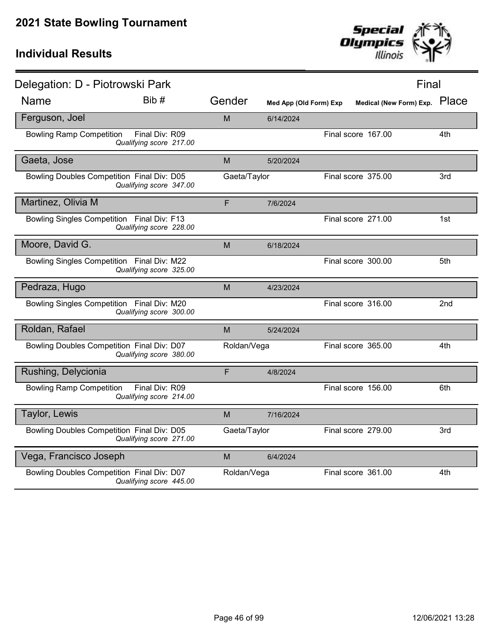

| Delegation: D - Piotrowski Park            |                                           |              |                        |                    | Final                         |
|--------------------------------------------|-------------------------------------------|--------------|------------------------|--------------------|-------------------------------|
| <b>Name</b>                                | Bib #                                     | Gender       | Med App (Old Form) Exp |                    | Medical (New Form) Exp. Place |
| Ferguson, Joel                             |                                           | M            | 6/14/2024              |                    |                               |
| <b>Bowling Ramp Competition</b>            | Final Div: R09<br>Qualifying score 217.00 |              |                        | Final score 167.00 | 4th                           |
| Gaeta, Jose                                |                                           | M            | 5/20/2024              |                    |                               |
| Bowling Doubles Competition Final Div: D05 | Qualifying score 347.00                   | Gaeta/Taylor |                        | Final score 375.00 | 3rd                           |
| Martinez, Olivia M                         |                                           | F            | 7/6/2024               |                    |                               |
| Bowling Singles Competition Final Div: F13 | Qualifying score 228.00                   |              |                        | Final score 271.00 | 1st                           |
| Moore, David G.                            |                                           | M            | 6/18/2024              |                    |                               |
| Bowling Singles Competition Final Div: M22 | Qualifying score 325.00                   |              |                        | Final score 300.00 | 5th                           |
| Pedraza, Hugo                              |                                           | M            | 4/23/2024              |                    |                               |
| Bowling Singles Competition Final Div: M20 | Qualifying score 300.00                   |              |                        | Final score 316.00 | 2nd                           |
| Roldan, Rafael                             |                                           | M            | 5/24/2024              |                    |                               |
| Bowling Doubles Competition Final Div: D07 | Qualifying score 380.00                   | Roldan/Vega  |                        | Final score 365.00 | 4th                           |
| Rushing, Delycionia                        |                                           | F            | 4/8/2024               |                    |                               |
| <b>Bowling Ramp Competition</b>            | Final Div: R09<br>Qualifying score 214.00 |              |                        | Final score 156.00 | 6th                           |
| Taylor, Lewis                              |                                           | M            | 7/16/2024              |                    |                               |
| Bowling Doubles Competition Final Div: D05 | Qualifying score 271.00                   | Gaeta/Taylor |                        | Final score 279.00 | 3rd                           |
| Vega, Francisco Joseph                     |                                           | M            | 6/4/2024               |                    |                               |
| Bowling Doubles Competition Final Div: D07 | Qualifying score 445.00                   | Roldan/Vega  |                        | Final score 361.00 | 4th                           |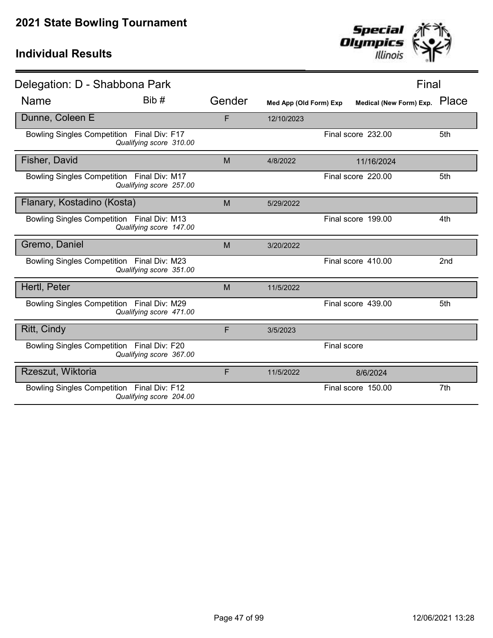

| Delegation: D - Shabbona Park              |                         |        |                        |             |                         | Final           |
|--------------------------------------------|-------------------------|--------|------------------------|-------------|-------------------------|-----------------|
| <b>Name</b>                                | Bib #                   | Gender | Med App (Old Form) Exp |             | Medical (New Form) Exp. | Place           |
| Dunne, Coleen E                            |                         | F      | 12/10/2023             |             |                         |                 |
| Bowling Singles Competition Final Div: F17 | Qualifying score 310.00 |        |                        |             | Final score 232.00      | 5th             |
| Fisher, David                              |                         | M      | 4/8/2022               |             | 11/16/2024              |                 |
| Bowling Singles Competition Final Div: M17 | Qualifying score 257.00 |        |                        |             | Final score 220.00      | 5th             |
| Flanary, Kostadino (Kosta)                 |                         | M      | 5/29/2022              |             |                         |                 |
| Bowling Singles Competition Final Div: M13 | Qualifying score 147.00 |        |                        |             | Final score 199.00      | 4th             |
| Gremo, Daniel                              |                         | M      | 3/20/2022              |             |                         |                 |
| Bowling Singles Competition Final Div: M23 | Qualifying score 351.00 |        |                        |             | Final score 410.00      | 2 <sub>nd</sub> |
| Hertl, Peter                               |                         | M      | 11/5/2022              |             |                         |                 |
| Bowling Singles Competition Final Div: M29 | Qualifying score 471.00 |        |                        |             | Final score 439.00      | 5th             |
| Ritt, Cindy                                |                         | F      | 3/5/2023               |             |                         |                 |
| Bowling Singles Competition Final Div: F20 | Qualifying score 367.00 |        |                        | Final score |                         |                 |
| Rzeszut, Wiktoria                          |                         | F      | 11/5/2022              |             | 8/6/2024                |                 |
| Bowling Singles Competition Final Div: F12 | Qualifying score 204.00 |        |                        |             | Final score 150.00      | 7th             |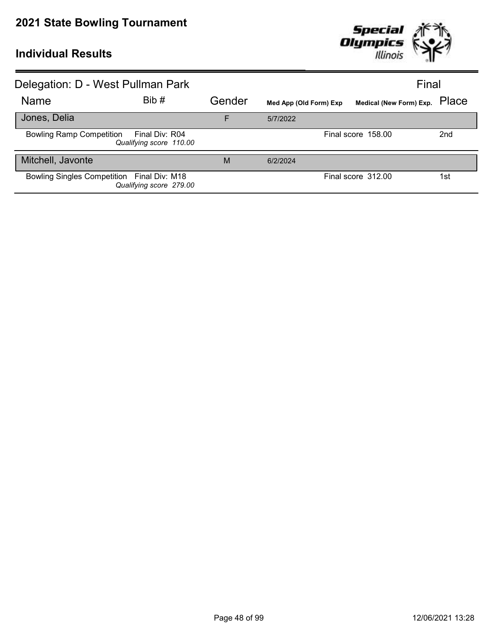

| Delegation: D - West Pullman Park          |                                           |        |                        | Final                         |                 |
|--------------------------------------------|-------------------------------------------|--------|------------------------|-------------------------------|-----------------|
| Name                                       | Bib#                                      | Gender | Med App (Old Form) Exp | Medical (New Form) Exp. Place |                 |
| Jones, Delia                               |                                           | F      | 5/7/2022               |                               |                 |
| <b>Bowling Ramp Competition</b>            | Final Div: R04<br>Qualifying score 110.00 |        |                        | Final score 158.00            | 2 <sub>nd</sub> |
| Mitchell, Javonte                          |                                           | M      | 6/2/2024               |                               |                 |
| Bowling Singles Competition Final Div: M18 | Qualifying score 279.00                   |        |                        | Final score 312.00            | 1st             |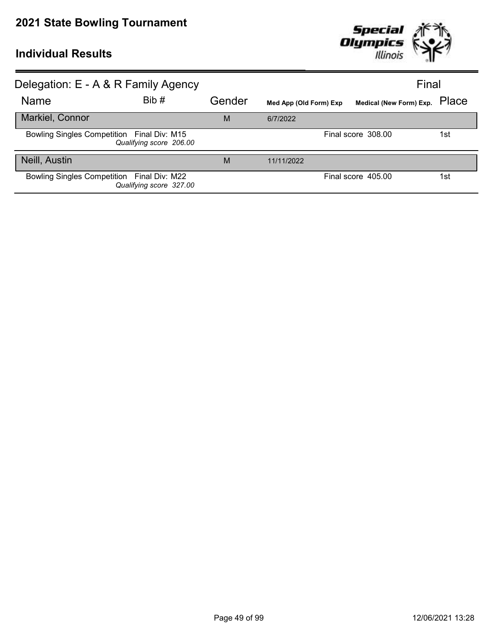

| Delegation: E - A & R Family Agency        |                         |        |                        | Final                         |     |
|--------------------------------------------|-------------------------|--------|------------------------|-------------------------------|-----|
| Name                                       | Bib#                    | Gender | Med App (Old Form) Exp | Medical (New Form) Exp. Place |     |
| Markiel, Connor                            |                         | M      | 6/7/2022               |                               |     |
| Bowling Singles Competition Final Div: M15 | Qualifying score 206.00 |        |                        | Final score 308.00            | 1st |
| Neill, Austin                              |                         | M      | 11/11/2022             |                               |     |
| Bowling Singles Competition Final Div: M22 | Qualifying score 327.00 |        |                        | Final score 405.00            | 1st |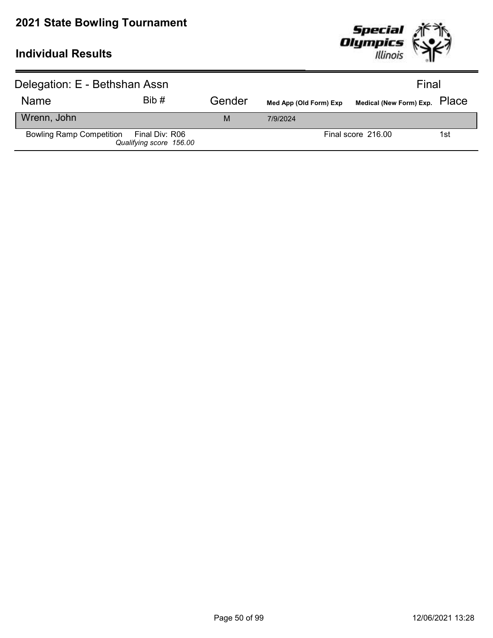

| Delegation: E - Bethshan Assn           |                         |        |                        |                               | Final |
|-----------------------------------------|-------------------------|--------|------------------------|-------------------------------|-------|
| <b>Name</b>                             | Bib#                    | Gender | Med App (Old Form) Exp | Medical (New Form) Exp. PlaCe |       |
| Wrenn, John                             |                         | M      | 7/9/2024               |                               |       |
| Bowling Ramp Competition Final Div: R06 | Qualifying score 156.00 |        |                        | Final score 216.00            | 1st   |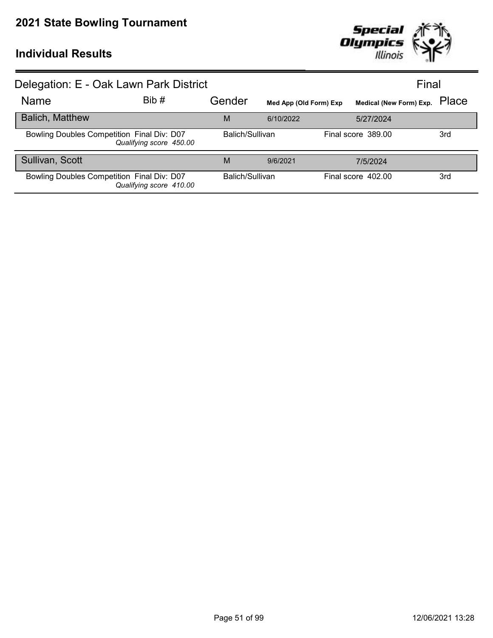

| Delegation: E - Oak Lawn Park District     |                         |                 |                        |                    | Final                   |       |
|--------------------------------------------|-------------------------|-----------------|------------------------|--------------------|-------------------------|-------|
| <b>Name</b>                                | Bib#                    | Gender          | Med App (Old Form) Exp |                    | Medical (New Form) Exp. | Place |
| <b>Balich, Matthew</b>                     |                         | M               | 6/10/2022              |                    | 5/27/2024               |       |
| Bowling Doubles Competition Final Div: D07 | Qualifying score 450.00 | Balich/Sullivan |                        | Final score 389.00 |                         | 3rd   |
| Sullivan, Scott                            |                         | M               | 9/6/2021               |                    | 7/5/2024                |       |
| Bowling Doubles Competition Final Div: D07 | Qualifying score 410.00 | Balich/Sullivan |                        | Final score 402.00 |                         | 3rd   |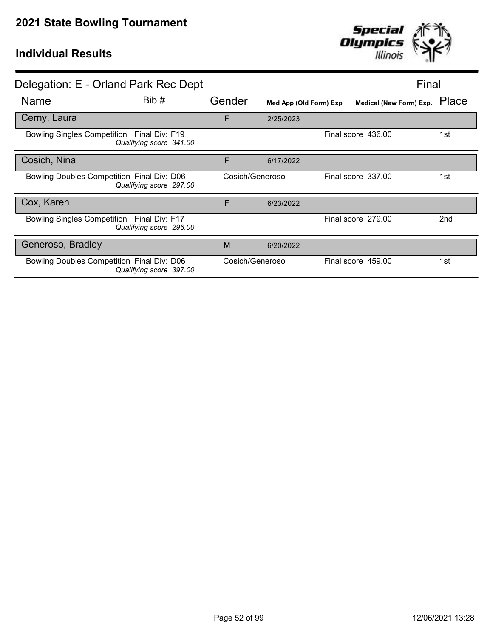

|                                            | Delegation: E - Orland Park Rec Dept |                 |                        | Final                   |                 |
|--------------------------------------------|--------------------------------------|-----------------|------------------------|-------------------------|-----------------|
| Name                                       | Bib#                                 | Gender          | Med App (Old Form) Exp | Medical (New Form) Exp. | Place           |
| Cerny, Laura                               |                                      | F               | 2/25/2023              |                         |                 |
| Bowling Singles Competition Final Div: F19 | Qualifying score 341.00              |                 |                        | Final score 436.00      | 1st             |
| Cosich, Nina                               |                                      | F               | 6/17/2022              |                         |                 |
| Bowling Doubles Competition Final Div: D06 | Qualifying score 297.00              | Cosich/Generoso |                        | Final score 337.00      | 1st             |
| Cox, Karen                                 |                                      | F               | 6/23/2022              |                         |                 |
| Bowling Singles Competition Final Div: F17 | Qualifying score 296.00              |                 |                        | Final score 279.00      | 2 <sub>nd</sub> |
| Generoso, Bradley                          |                                      | M               | 6/20/2022              |                         |                 |
| Bowling Doubles Competition Final Div: D06 | Qualifying score 397.00              | Cosich/Generoso |                        | Final score 459.00      | 1st             |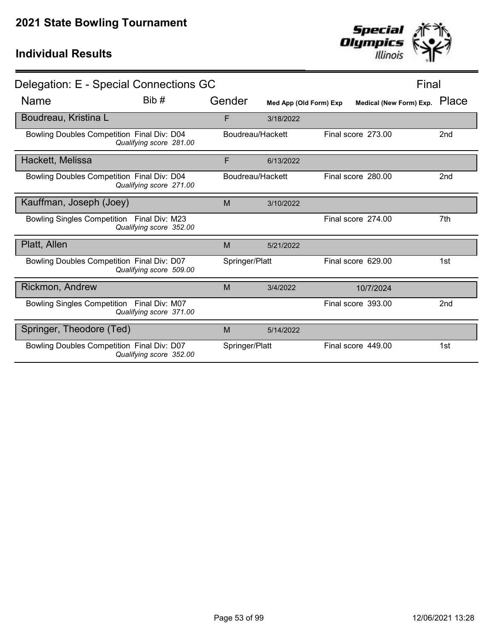| Page 53 of 99 | 12/06/2021 13:28 |
|---------------|------------------|

| Delegation: E - Special Connections GC     |                         |                  |                        |                         | Final           |
|--------------------------------------------|-------------------------|------------------|------------------------|-------------------------|-----------------|
| <b>Name</b>                                | Bib #                   | Gender           | Med App (Old Form) Exp | Medical (New Form) Exp. | Place           |
| Boudreau, Kristina L                       |                         | F                | 3/18/2022              |                         |                 |
| Bowling Doubles Competition Final Div: D04 | Qualifying score 281.00 | Boudreau/Hackett |                        | Final score 273.00      | 2nd             |
| Hackett, Melissa                           |                         | F                | 6/13/2022              |                         |                 |
| Bowling Doubles Competition Final Div: D04 | Qualifying score 271.00 | Boudreau/Hackett |                        | Final score 280.00      | 2nd             |
| Kauffman, Joseph (Joey)                    |                         | M                | 3/10/2022              |                         |                 |
| Bowling Singles Competition Final Div: M23 | Qualifying score 352.00 |                  |                        | Final score 274.00      | 7th             |
| Platt, Allen                               |                         | M                | 5/21/2022              |                         |                 |
| Bowling Doubles Competition Final Div: D07 | Qualifying score 509.00 | Springer/Platt   |                        | Final score 629.00      | 1st             |
| Rickmon, Andrew                            |                         | M                | 3/4/2022               | 10/7/2024               |                 |
| Bowling Singles Competition Final Div: M07 | Qualifying score 371.00 |                  |                        | Final score 393.00      | 2 <sub>nd</sub> |
| Springer, Theodore (Ted)                   |                         | M                | 5/14/2022              |                         |                 |
| Bowling Doubles Competition Final Div: D07 | Qualifying score 352.00 | Springer/Platt   |                        | Final score 449.00      | 1st             |
|                                            |                         |                  |                        |                         |                 |

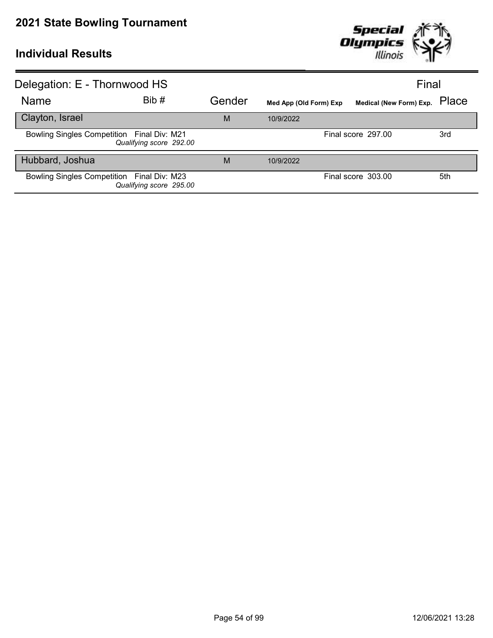

| Delegation: E - Thornwood HS               |                         |        |                        | Final                         |     |
|--------------------------------------------|-------------------------|--------|------------------------|-------------------------------|-----|
| Name                                       | Bib #                   | Gender | Med App (Old Form) Exp | Medical (New Form) Exp. Place |     |
| Clayton, Israel                            |                         | M      | 10/9/2022              |                               |     |
| Bowling Singles Competition Final Div: M21 | Qualifying score 292.00 |        |                        | Final score 297.00            | 3rd |
| Hubbard, Joshua                            |                         | M      | 10/9/2022              |                               |     |
| Bowling Singles Competition Final Div: M23 | Qualifying score 295.00 |        |                        | Final score 303.00            | 5th |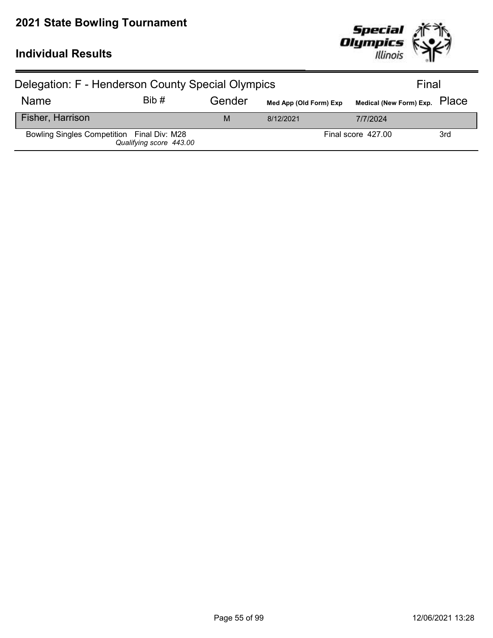

| Delegation: F - Henderson County Special Olympics |                         |        |                        | Final                         |     |
|---------------------------------------------------|-------------------------|--------|------------------------|-------------------------------|-----|
| <b>Name</b>                                       | Bib#                    | Gender | Med App (Old Form) Exp | Medical (New Form) Exp. PlaCe |     |
| Fisher, Harrison                                  |                         | M      | 8/12/2021              | 7/7/2024                      |     |
| Bowling Singles Competition Final Div: M28        | Qualifying score 443.00 |        |                        | Final score 427.00            | 3rd |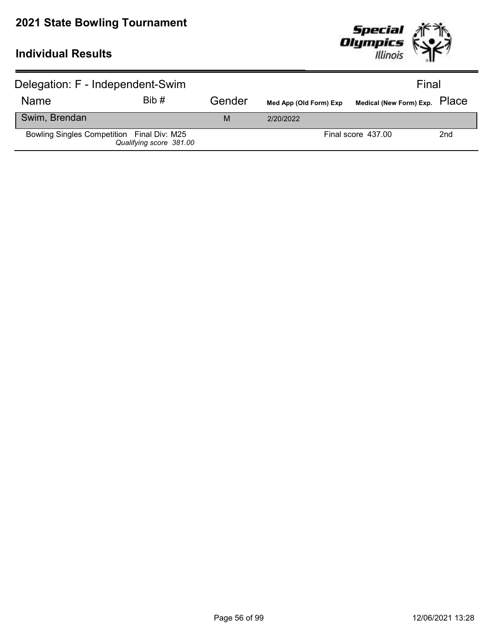

| Delegation: F - Independent-Swim           |                         |        | Final                  |                               |                 |
|--------------------------------------------|-------------------------|--------|------------------------|-------------------------------|-----------------|
| <b>Name</b>                                | Bib#                    | Gender | Med App (Old Form) Exp | Medical (New Form) Exp. PlaCe |                 |
| Swim, Brendan                              |                         | M      | 2/20/2022              |                               |                 |
| Bowling Singles Competition Final Div: M25 | Qualifying score 381.00 |        |                        | Final score 437.00            | 2 <sub>nd</sub> |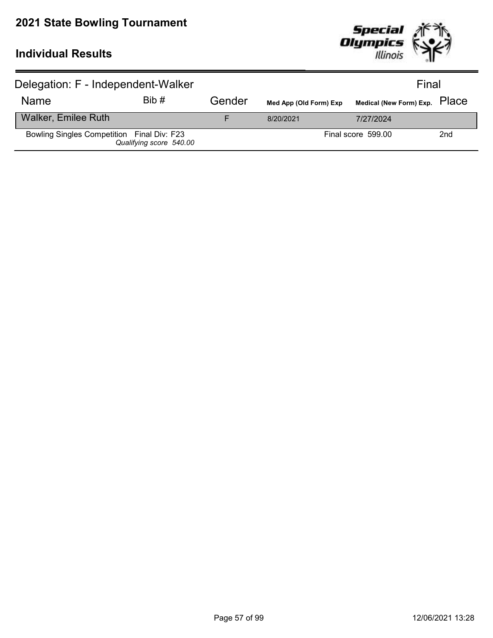

| Delegation: F - Independent-Walker         |                         |        | Final                  |                               |     |
|--------------------------------------------|-------------------------|--------|------------------------|-------------------------------|-----|
| <b>Name</b>                                | Bib#                    | Gender | Med App (Old Form) Exp | Medical (New Form) Exp. PlaCe |     |
| <b>Walker, Emilee Ruth</b>                 |                         |        | 8/20/2021              | 7/27/2024                     |     |
| Bowling Singles Competition Final Div: F23 | Qualifying score 540.00 |        |                        | Final score 599.00            | 2nd |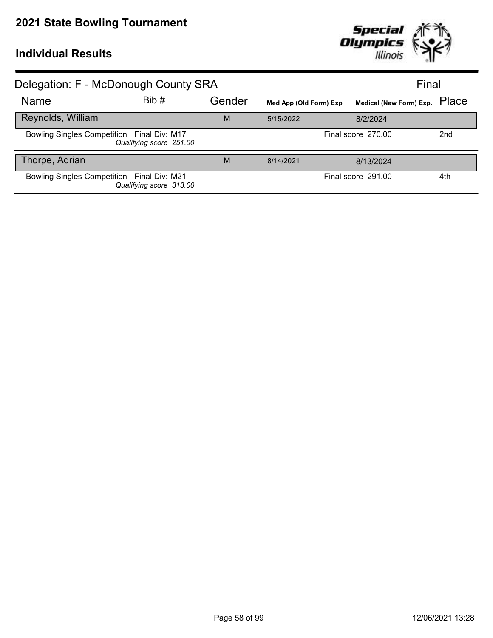

| Delegation: F - McDonough County SRA       |                         |        |                        |                               | Final           |
|--------------------------------------------|-------------------------|--------|------------------------|-------------------------------|-----------------|
| Name                                       | Bib #                   | Gender | Med App (Old Form) Exp | Medical (New Form) Exp. Place |                 |
| Reynolds, William                          |                         | M      | 5/15/2022              | 8/2/2024                      |                 |
| Bowling Singles Competition Final Div: M17 | Qualifying score 251.00 |        |                        | Final score 270.00            | 2 <sub>nd</sub> |
| Thorpe, Adrian                             |                         | M      | 8/14/2021              | 8/13/2024                     |                 |
| Bowling Singles Competition Final Div: M21 | Qualifying score 313.00 |        |                        | Final score 291.00            | 4th             |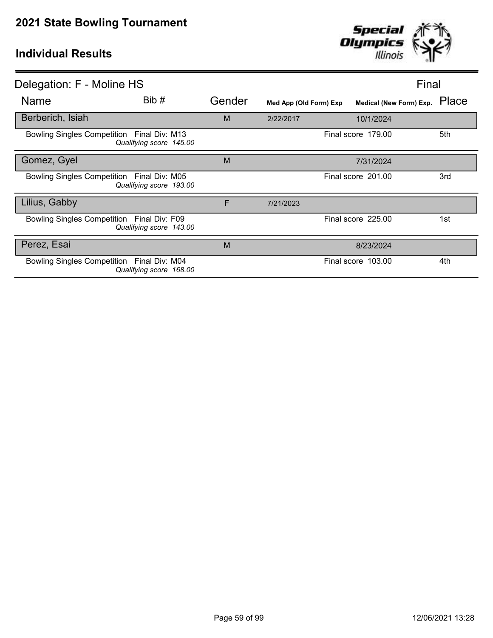

| Delegation: F - Moline HS                  |                         |        |                        | Final                         |      |
|--------------------------------------------|-------------------------|--------|------------------------|-------------------------------|------|
| <b>Name</b>                                | Bib #                   | Gender | Med App (Old Form) Exp | Medical (New Form) Exp. Place |      |
| Berberich, Isiah                           |                         | M      | 2/22/2017              | 10/1/2024                     |      |
| Bowling Singles Competition Final Div: M13 | Qualifying score 145.00 |        |                        | Final score 179.00            | 5th  |
| Gomez, Gyel                                |                         | M      |                        | 7/31/2024                     |      |
| Bowling Singles Competition Final Div: M05 | Qualifying score 193.00 |        |                        | Final score 201.00            | 3rd  |
| Lilius, Gabby                              |                         | F      | 7/21/2023              |                               |      |
| Bowling Singles Competition Final Div: F09 | Qualifying score 143.00 |        |                        | Final score 225.00            | 1st. |
| Perez, Esai                                |                         | M      |                        | 8/23/2024                     |      |
| Bowling Singles Competition Final Div: M04 | Qualifying score 168.00 |        |                        | Final score 103.00            | 4th  |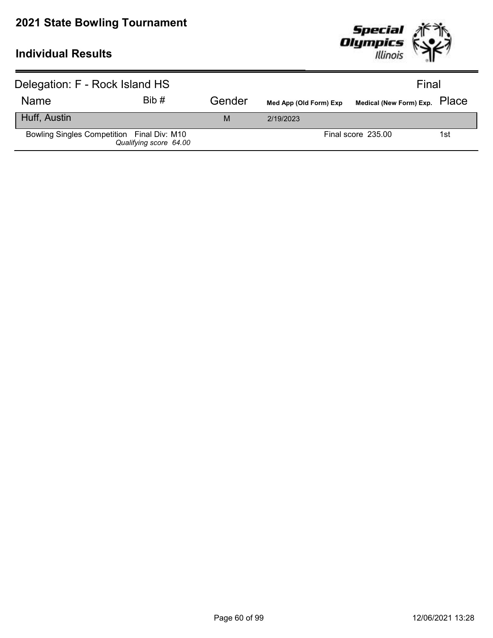

| Delegation: F - Rock Island HS             |                        |        |                        | Final                         |     |
|--------------------------------------------|------------------------|--------|------------------------|-------------------------------|-----|
| <b>Name</b>                                | Bib#                   | Gender | Med App (Old Form) Exp | Medical (New Form) Exp. PlaCe |     |
| Huff, Austin                               |                        | M      | 2/19/2023              |                               |     |
| Bowling Singles Competition Final Div: M10 | Qualifying score 64.00 |        |                        | Final score 235.00            | 1st |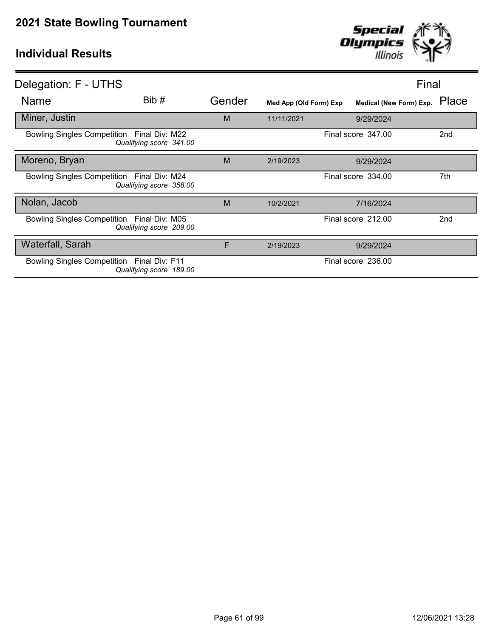

| Delegation: F - UTHS                       |                         |        |                        |                    | Final                         |
|--------------------------------------------|-------------------------|--------|------------------------|--------------------|-------------------------------|
| <b>Name</b>                                | Bib#                    | Gender | Med App (Old Form) Exp |                    | Medical (New Form) Exp. Place |
| Miner, Justin                              |                         | M      | 11/11/2021             | 9/29/2024          |                               |
| Bowling Singles Competition Final Div: M22 | Qualifying score 341.00 |        |                        | Final score 347.00 | 2 <sub>nd</sub>               |
| Moreno, Bryan                              |                         | M      | 2/19/2023              | 9/29/2024          |                               |
| Bowling Singles Competition Final Div: M24 | Qualifying score 358.00 |        |                        | Final score 334.00 | 7th                           |
| Nolan, Jacob                               |                         | M      | 10/2/2021              | 7/16/2024          |                               |
| Bowling Singles Competition Final Div: M05 | Qualifying score 209.00 |        |                        | Final score 212.00 | 2 <sub>nd</sub>               |
| <b>Waterfall, Sarah</b>                    |                         | F      | 2/19/2023              | 9/29/2024          |                               |
| Bowling Singles Competition Final Div: F11 | Qualifying score 189.00 |        |                        | Final score 236.00 |                               |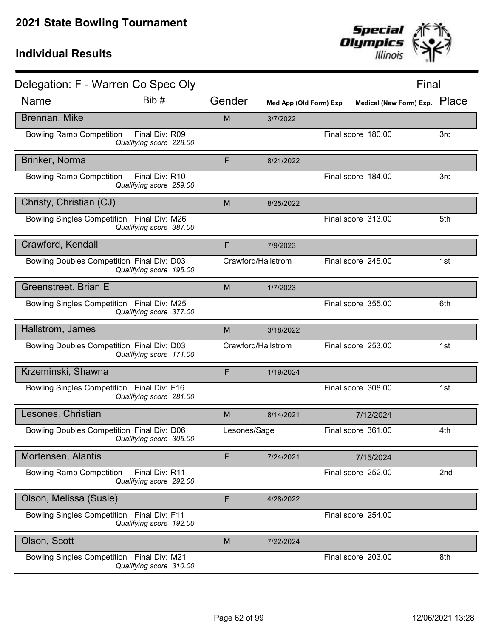

| Delegation: F - Warren Co Spec Oly         |                                           |              |                        |                               | Final |
|--------------------------------------------|-------------------------------------------|--------------|------------------------|-------------------------------|-------|
| <b>Name</b>                                | Bib #                                     | Gender       | Med App (Old Form) Exp | Medical (New Form) Exp. Place |       |
| Brennan, Mike                              |                                           | M            | 3/7/2022               |                               |       |
| <b>Bowling Ramp Competition</b>            | Final Div: R09<br>Qualifying score 228.00 |              |                        | Final score 180.00            | 3rd   |
| Brinker, Norma                             |                                           | F            | 8/21/2022              |                               |       |
| <b>Bowling Ramp Competition</b>            | Final Div: R10<br>Qualifying score 259.00 |              |                        | Final score 184.00            | 3rd   |
| Christy, Christian (CJ)                    |                                           | M            | 8/25/2022              |                               |       |
| Bowling Singles Competition Final Div: M26 | Qualifying score 387.00                   |              |                        | Final score 313.00            | 5th   |
| Crawford, Kendall                          |                                           | F            | 7/9/2023               |                               |       |
| Bowling Doubles Competition Final Div: D03 | Qualifying score 195.00                   |              | Crawford/Hallstrom     | Final score 245.00            | 1st   |
| Greenstreet, Brian E                       |                                           | M            | 1/7/2023               |                               |       |
| Bowling Singles Competition Final Div: M25 | Qualifying score 377.00                   |              |                        | Final score 355.00            | 6th   |
| Hallstrom, James                           |                                           | M            | 3/18/2022              |                               |       |
| Bowling Doubles Competition Final Div: D03 | Qualifying score 171.00                   |              | Crawford/Hallstrom     | Final score 253.00            | 1st   |
| Krzeminski, Shawna                         |                                           | F            | 1/19/2024              |                               |       |
| Bowling Singles Competition Final Div: F16 | Qualifying score 281.00                   |              |                        | Final score 308.00            | 1st   |
| Lesones, Christian                         |                                           | M            | 8/14/2021              | 7/12/2024                     |       |
| Bowling Doubles Competition Final Div: D06 | Qualifying score 305.00                   | Lesones/Sage |                        | Final score 361.00            | 4th   |
| Mortensen, Alantis                         |                                           | F            | 7/24/2021              | 7/15/2024                     |       |
| <b>Bowling Ramp Competition</b>            | Final Div: R11<br>Qualifying score 292.00 |              |                        | Final score 252.00            | 2nd   |
| Olson, Melissa (Susie)                     |                                           | F            | 4/28/2022              |                               |       |
| <b>Bowling Singles Competition</b>         | Final Div: F11<br>Qualifying score 192.00 |              |                        | Final score 254.00            |       |
| Olson, Scott                               |                                           | M            | 7/22/2024              |                               |       |
| Bowling Singles Competition Final Div: M21 | Qualifying score 310.00                   |              |                        | Final score 203.00            | 8th   |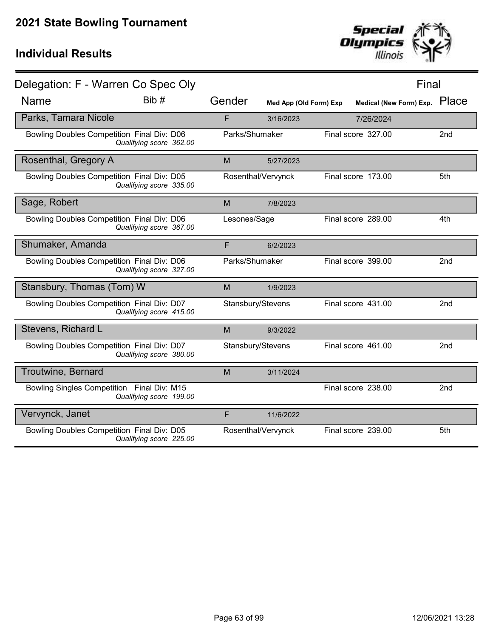

| Delegation: F - Warren Co Spec Oly         |                         |                |                        |                         | Final           |
|--------------------------------------------|-------------------------|----------------|------------------------|-------------------------|-----------------|
| <b>Name</b>                                | Bib#                    | Gender         | Med App (Old Form) Exp | Medical (New Form) Exp. | Place           |
| Parks, Tamara Nicole                       |                         | F              | 3/16/2023              | 7/26/2024               |                 |
| Bowling Doubles Competition Final Div: D06 | Qualifying score 362.00 | Parks/Shumaker |                        | Final score 327.00      | 2nd             |
| Rosenthal, Gregory A                       |                         | M              | 5/27/2023              |                         |                 |
| Bowling Doubles Competition Final Div: D05 | Qualifying score 335.00 |                | Rosenthal/Vervynck     | Final score 173.00      | 5th             |
| Sage, Robert                               |                         | M              | 7/8/2023               |                         |                 |
| Bowling Doubles Competition Final Div: D06 | Qualifying score 367.00 | Lesones/Sage   |                        | Final score 289.00      | 4th             |
| Shumaker, Amanda                           |                         | F              | 6/2/2023               |                         |                 |
| Bowling Doubles Competition Final Div: D06 | Qualifying score 327.00 | Parks/Shumaker |                        | Final score 399.00      | 2nd             |
| Stansbury, Thomas (Tom) W                  |                         | M              | 1/9/2023               |                         |                 |
| Bowling Doubles Competition Final Div: D07 | Qualifying score 415.00 |                | Stansbury/Stevens      | Final score 431.00      | 2nd             |
| Stevens, Richard L                         |                         | M              | 9/3/2022               |                         |                 |
| Bowling Doubles Competition Final Div: D07 | Qualifying score 380.00 |                | Stansbury/Stevens      | Final score 461.00      | 2nd             |
| Troutwine, Bernard                         |                         | M              | 3/11/2024              |                         |                 |
| Bowling Singles Competition Final Div: M15 | Qualifying score 199.00 |                |                        | Final score 238.00      | 2 <sub>nd</sub> |
| Vervynck, Janet                            |                         | F              | 11/6/2022              |                         |                 |
| Bowling Doubles Competition Final Div: D05 | Qualifying score 225.00 |                | Rosenthal/Vervynck     | Final score 239.00      | 5th             |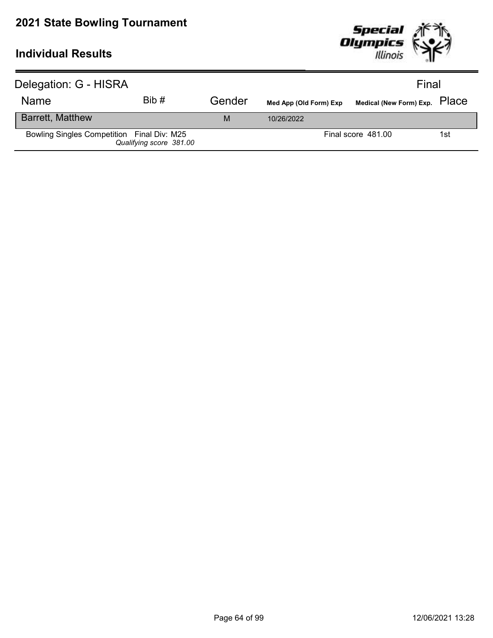

| Delegation: G - HISRA                      |                         |        |                        | Final                         |     |
|--------------------------------------------|-------------------------|--------|------------------------|-------------------------------|-----|
| <b>Name</b>                                | Bib#                    | Gender | Med App (Old Form) Exp | Medical (New Form) Exp. PlaCe |     |
| <b>Barrett, Matthew</b>                    |                         | M      | 10/26/2022             |                               |     |
| Bowling Singles Competition Final Div: M25 | Qualifying score 381.00 |        |                        | Final score 481.00            | 1st |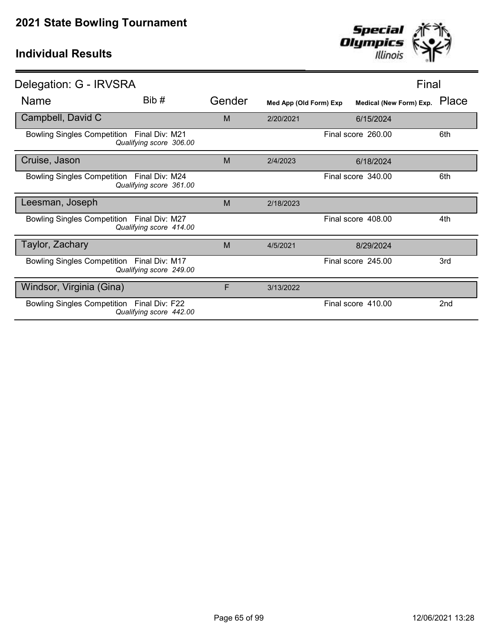

| Delegation: G - IRVSRA                                                          |        |           |                        | Final                            |
|---------------------------------------------------------------------------------|--------|-----------|------------------------|----------------------------------|
| Bib #<br><b>Name</b>                                                            | Gender |           | Med App (Old Form) Exp | Place<br>Medical (New Form) Exp. |
| Campbell, David C                                                               | M      | 2/20/2021 | 6/15/2024              |                                  |
| Bowling Singles Competition Final Div: M21<br>Qualifying score 306.00           |        |           | Final score 260.00     | 6th                              |
| Cruise, Jason                                                                   | M      | 2/4/2023  | 6/18/2024              |                                  |
| Bowling Singles Competition Final Div: M24<br>Qualifying score 361.00           |        |           | Final score 340.00     | 6th                              |
| Leesman, Joseph                                                                 | M      | 2/18/2023 |                        |                                  |
| Bowling Singles Competition Final Div: M27<br>Qualifying score 414.00           |        |           | Final score 408.00     | 4th                              |
| Taylor, Zachary                                                                 | M      | 4/5/2021  | 8/29/2024              |                                  |
| Bowling Singles Competition Final Div: M17<br>Qualifying score 249.00           |        |           | Final score 245.00     | 3rd                              |
| Windsor, Virginia (Gina)                                                        | F      | 3/13/2022 |                        |                                  |
| <b>Bowling Singles Competition</b><br>Final Div: F22<br>Qualifying score 442.00 |        |           | Final score 410.00     | 2nd                              |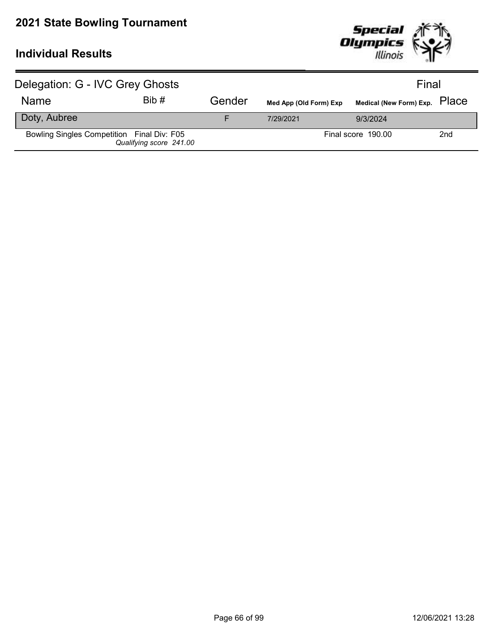

| Delegation: G - IVC Grey Ghosts            |                         |        |                        | Final                         |     |
|--------------------------------------------|-------------------------|--------|------------------------|-------------------------------|-----|
| <b>Name</b>                                | Bib#                    | Gender | Med App (Old Form) Exp | Medical (New Form) Exp. PlaCe |     |
| Doty, Aubree                               |                         |        | 7/29/2021              | 9/3/2024                      |     |
| Bowling Singles Competition Final Div: F05 | Qualifying score 241.00 |        |                        | Final score 190.00            | 2nd |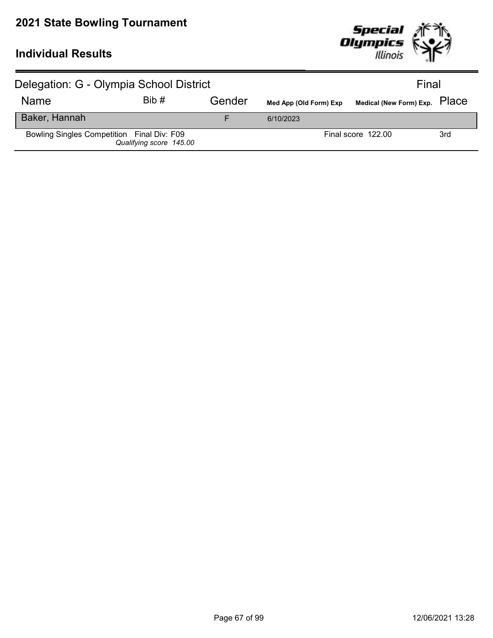

| Delegation: G - Olympia School District    |                         |        |                        | Final                         |     |
|--------------------------------------------|-------------------------|--------|------------------------|-------------------------------|-----|
| <b>Name</b>                                | Bib#                    | Gender | Med App (Old Form) Exp | Medical (New Form) Exp. PlaCe |     |
| Baker, Hannah                              |                         |        | 6/10/2023              |                               |     |
| Bowling Singles Competition Final Div: F09 | Qualifying score 145.00 |        |                        | Final score 122.00            | 3rd |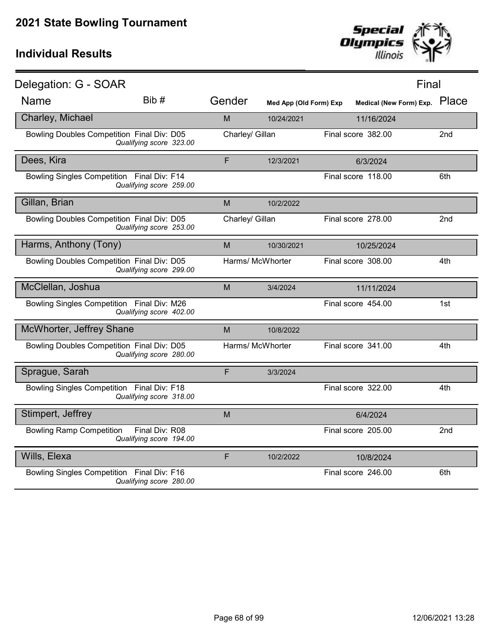

| Delegation: G - SOAR                       |                                           |                 |                        |                               | Final           |
|--------------------------------------------|-------------------------------------------|-----------------|------------------------|-------------------------------|-----------------|
| <b>Name</b>                                | Bib #                                     | Gender          | Med App (Old Form) Exp | Medical (New Form) Exp. Place |                 |
| Charley, Michael                           |                                           | M               | 10/24/2021             | 11/16/2024                    |                 |
| Bowling Doubles Competition Final Div: D05 | Qualifying score 323.00                   | Charley/ Gillan |                        | Final score 382.00            | 2nd             |
| Dees, Kira                                 |                                           | F               | 12/3/2021              | 6/3/2024                      |                 |
| Bowling Singles Competition Final Div: F14 | Qualifying score 259.00                   |                 |                        | Final score 118.00            | 6th             |
| Gillan, Brian                              |                                           | M               | 10/2/2022              |                               |                 |
| Bowling Doubles Competition Final Div: D05 | Qualifying score 253.00                   | Charley/ Gillan |                        | Final score 278.00            | 2 <sub>nd</sub> |
| Harms, Anthony (Tony)                      |                                           | M               | 10/30/2021             | 10/25/2024                    |                 |
| Bowling Doubles Competition Final Div: D05 | Qualifying score 299.00                   |                 | Harms/ McWhorter       | Final score 308.00            | 4th             |
| McClellan, Joshua                          |                                           | M               | 3/4/2024               | 11/11/2024                    |                 |
| Bowling Singles Competition Final Div: M26 | Qualifying score 402.00                   |                 |                        | Final score 454.00            | 1st             |
| McWhorter, Jeffrey Shane                   |                                           | M               | 10/8/2022              |                               |                 |
| Bowling Doubles Competition Final Div: D05 | Qualifying score 280.00                   |                 | Harms/ McWhorter       | Final score 341.00            | 4th             |
| Sprague, Sarah                             |                                           | F               | 3/3/2024               |                               |                 |
| Bowling Singles Competition Final Div: F18 | Qualifying score 318.00                   |                 |                        | Final score 322.00            | 4th             |
| Stimpert, Jeffrey                          |                                           | M               |                        | 6/4/2024                      |                 |
| <b>Bowling Ramp Competition</b>            | Final Div: R08<br>Qualifying score 194.00 |                 |                        | Final score 205.00            | 2nd             |
| Wills, Elexa                               |                                           | F               | 10/2/2022              | 10/8/2024                     |                 |
| Bowling Singles Competition Final Div: F16 | Qualifying score 280.00                   |                 |                        | Final score 246.00            | 6th             |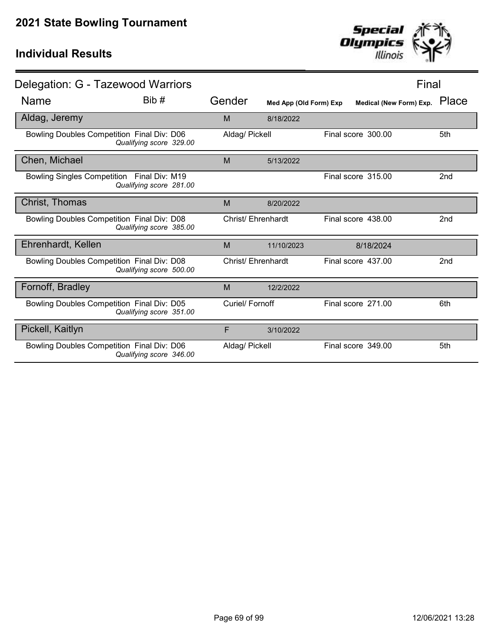

| Delegation: G - Tazewood Warriors                 |                         |   |                    |                        |                         | Final           |
|---------------------------------------------------|-------------------------|---|--------------------|------------------------|-------------------------|-----------------|
| <b>Name</b>                                       | Bib #                   |   | Gender             | Med App (Old Form) Exp | Medical (New Form) Exp. | Place           |
| Aldag, Jeremy                                     |                         | M |                    | 8/18/2022              |                         |                 |
| Bowling Doubles Competition Final Div: D06        | Qualifying score 329.00 |   | Aldag/ Pickell     |                        | Final score 300.00      | 5th             |
| Chen, Michael                                     |                         | M |                    | 5/13/2022              |                         |                 |
| Bowling Singles Competition Final Div: M19        | Qualifying score 281.00 |   |                    |                        | Final score 315.00      | 2 <sub>nd</sub> |
| Christ, Thomas                                    |                         | M |                    | 8/20/2022              |                         |                 |
| Bowling Doubles Competition Final Div: D08        | Qualifying score 385.00 |   | Christ/ Ehrenhardt |                        | Final score 438.00      | 2 <sub>nd</sub> |
| Ehrenhardt, Kellen                                |                         | M |                    | 11/10/2023             | 8/18/2024               |                 |
| <b>Bowling Doubles Competition Final Div: D08</b> | Qualifying score 500.00 |   | Christ/Ehrenhardt  |                        | Final score 437.00      | 2 <sub>nd</sub> |
| Fornoff, Bradley                                  |                         | M |                    | 12/2/2022              |                         |                 |
| Bowling Doubles Competition Final Div: D05        | Qualifying score 351.00 |   | Curiel/ Fornoff    |                        | Final score 271.00      | 6th             |
| Pickell, Kaitlyn                                  |                         | F |                    | 3/10/2022              |                         |                 |
| Bowling Doubles Competition Final Div: D06        | Qualifying score 346.00 |   | Aldag/ Pickell     |                        | Final score 349.00      | 5th             |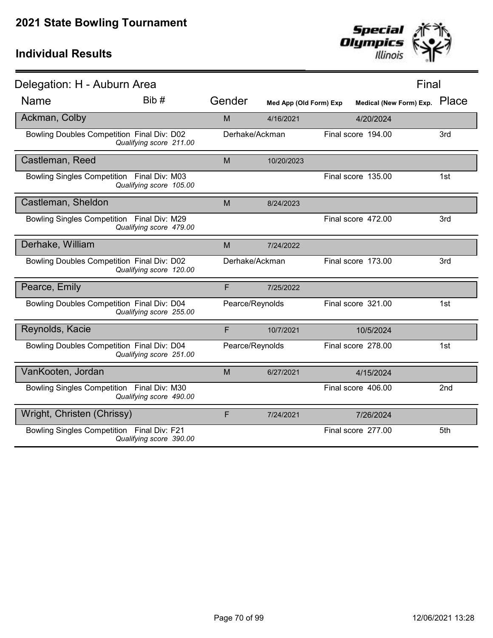

| Delegation: H - Auburn Area                |                         |                 |                        |                    | Final                         |     |
|--------------------------------------------|-------------------------|-----------------|------------------------|--------------------|-------------------------------|-----|
| <b>Name</b>                                | Bib #                   | Gender          | Med App (Old Form) Exp |                    | Medical (New Form) Exp. Place |     |
| Ackman, Colby                              |                         | M               | 4/16/2021              |                    | 4/20/2024                     |     |
| Bowling Doubles Competition Final Div: D02 | Qualifying score 211.00 | Derhake/Ackman  |                        | Final score 194.00 |                               | 3rd |
| Castleman, Reed                            |                         | M               | 10/20/2023             |                    |                               |     |
| Bowling Singles Competition Final Div: M03 | Qualifying score 105.00 |                 |                        | Final score 135.00 |                               | 1st |
| Castleman, Sheldon                         |                         | M               | 8/24/2023              |                    |                               |     |
| Bowling Singles Competition Final Div: M29 | Qualifying score 479.00 |                 |                        | Final score 472.00 |                               | 3rd |
| Derhake, William                           |                         | M               | 7/24/2022              |                    |                               |     |
| Bowling Doubles Competition Final Div: D02 | Qualifying score 120.00 | Derhake/Ackman  |                        | Final score 173.00 |                               | 3rd |
| Pearce, Emily                              |                         | F               | 7/25/2022              |                    |                               |     |
| Bowling Doubles Competition Final Div: D04 | Qualifying score 255.00 | Pearce/Reynolds |                        | Final score 321.00 |                               | 1st |
| Reynolds, Kacie                            |                         | F               | 10/7/2021              |                    | 10/5/2024                     |     |
| Bowling Doubles Competition Final Div: D04 | Qualifying score 251.00 | Pearce/Reynolds |                        | Final score 278.00 |                               | 1st |
| VanKooten, Jordan                          |                         | M               | 6/27/2021              |                    | 4/15/2024                     |     |
| Bowling Singles Competition Final Div: M30 | Qualifying score 490.00 |                 |                        | Final score 406.00 |                               | 2nd |
| Wright, Christen (Chrissy)                 |                         | F               | 7/24/2021              |                    | 7/26/2024                     |     |
| Bowling Singles Competition Final Div: F21 | Qualifying score 390.00 |                 |                        | Final score 277.00 |                               | 5th |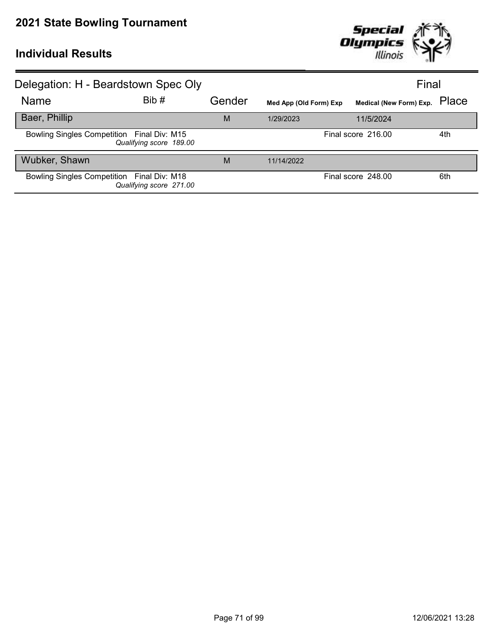

| Delegation: H - Beardstown Spec Oly        |                         |        |                        |                         | Final |
|--------------------------------------------|-------------------------|--------|------------------------|-------------------------|-------|
| Name                                       | Bib#                    | Gender | Med App (Old Form) Exp | Medical (New Form) Exp. | Place |
| Baer, Phillip                              |                         | M      | 1/29/2023              | 11/5/2024               |       |
| Bowling Singles Competition Final Div: M15 | Qualifying score 189.00 |        |                        | Final score 216.00      | 4th   |
| Wubker, Shawn                              |                         | M      | 11/14/2022             |                         |       |
| Bowling Singles Competition Final Div: M18 | Qualifying score 271.00 |        |                        | Final score 248.00      | 6th   |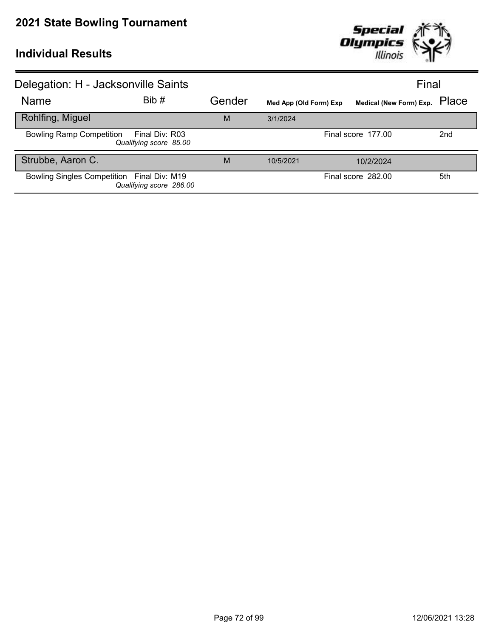

| Delegation: H - Jacksonville Saints                                         |       |        |                        |                               | Final           |  |
|-----------------------------------------------------------------------------|-------|--------|------------------------|-------------------------------|-----------------|--|
| <b>Name</b>                                                                 | Bib # | Gender | Med App (Old Form) Exp | Medical (New Form) Exp. Place |                 |  |
| Rohlfing, Miguel                                                            |       | M      | 3/1/2024               |                               |                 |  |
| <b>Bowling Ramp Competition</b><br>Final Div: R03<br>Qualifying score 85.00 |       |        | Final score 177.00     |                               | 2 <sub>nd</sub> |  |
| Strubbe, Aaron C.                                                           |       | M      | 10/5/2021              | 10/2/2024                     |                 |  |
| Bowling Singles Competition Final Div: M19<br>Qualifying score 286.00       |       |        |                        | Final score 282.00            | 5th             |  |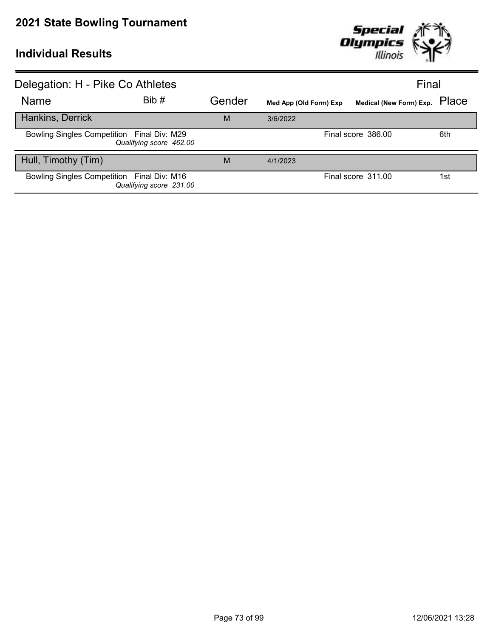

| Delegation: H - Pike Co Athletes           |                         |        |                        | Final                         |     |
|--------------------------------------------|-------------------------|--------|------------------------|-------------------------------|-----|
| Name                                       | Bib #                   | Gender | Med App (Old Form) Exp | Medical (New Form) Exp. Place |     |
| Hankins, Derrick                           |                         | M      | 3/6/2022               |                               |     |
| Bowling Singles Competition Final Div: M29 | Qualifying score 462.00 |        |                        | Final score 386.00            | 6th |
| Hull, Timothy (Tim)                        |                         | M      | 4/1/2023               |                               |     |
| Bowling Singles Competition Final Div: M16 | Qualifying score 231.00 |        |                        | Final score 311.00            | 1st |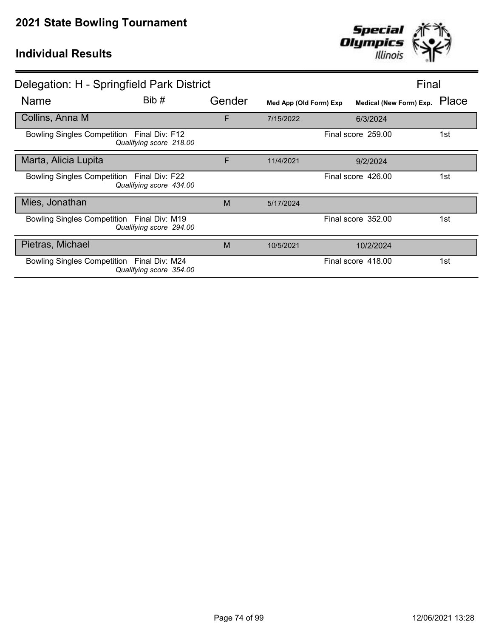

|                                            | Delegation: H - Springfield Park District |        |                        |                         | Final |
|--------------------------------------------|-------------------------------------------|--------|------------------------|-------------------------|-------|
| <b>Name</b>                                | Bib #                                     | Gender | Med App (Old Form) Exp | Medical (New Form) Exp. | Place |
| Collins, Anna M                            |                                           | F      | 7/15/2022              | 6/3/2024                |       |
| Bowling Singles Competition Final Div: F12 | Qualifying score 218.00                   |        |                        | Final score 259.00      | 1st   |
| Marta, Alicia Lupita                       |                                           | F      | 11/4/2021              | 9/2/2024                |       |
| Bowling Singles Competition Final Div: F22 | Qualifying score 434.00                   |        |                        | Final score 426.00      | 1st   |
| Mies, Jonathan                             |                                           | M      | 5/17/2024              |                         |       |
| Bowling Singles Competition Final Div: M19 | Qualifying score 294.00                   |        |                        | Final score 352.00      | 1st   |
| Pietras, Michael                           |                                           | M      | 10/5/2021              | 10/2/2024               |       |
| Bowling Singles Competition Final Div: M24 | Qualifying score 354.00                   |        |                        | Final score 418.00      | 1st   |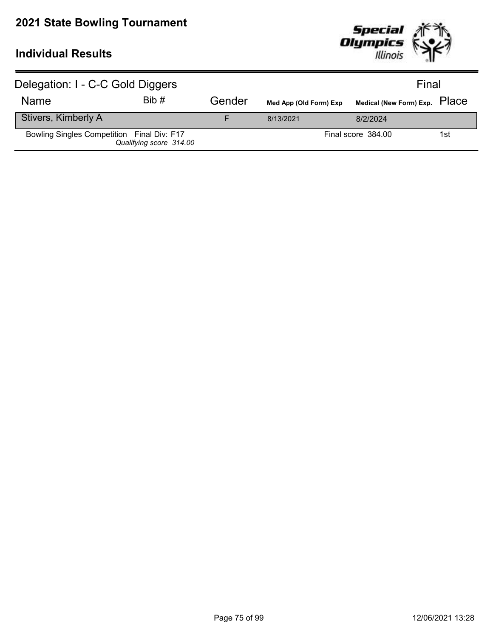

| Delegation: I - C-C Gold Diggers           |                         |        |                        | Final                         |     |
|--------------------------------------------|-------------------------|--------|------------------------|-------------------------------|-----|
| <b>Name</b>                                | Bib#                    | Gender | Med App (Old Form) Exp | Medical (New Form) Exp. PlaCe |     |
| Stivers, Kimberly A                        |                         |        | 8/13/2021              | 8/2/2024                      |     |
| Bowling Singles Competition Final Div: F17 | Qualifying score 314.00 |        |                        | Final score 384.00            | 1st |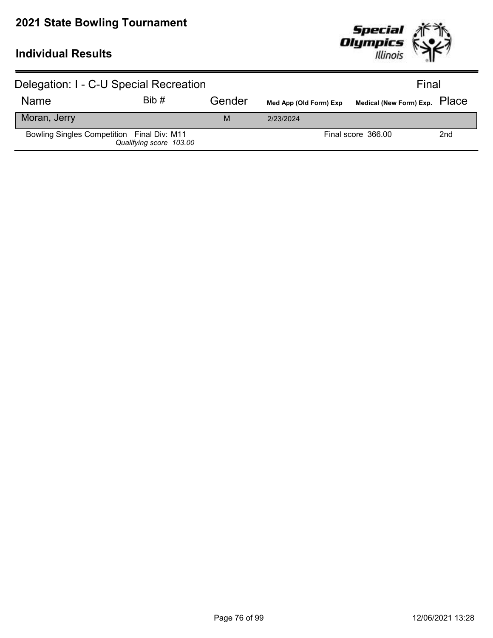

| Delegation: I - C-U Special Recreation     |                         |        |                        | Final                         |     |
|--------------------------------------------|-------------------------|--------|------------------------|-------------------------------|-----|
| <b>Name</b>                                | Bib#                    | Gender | Med App (Old Form) Exp | Medical (New Form) Exp. PlaCe |     |
| Moran, Jerry                               |                         | м      | 2/23/2024              |                               |     |
| Bowling Singles Competition Final Div: M11 | Qualifying score 103.00 |        |                        | Final score 366.00            | 2nd |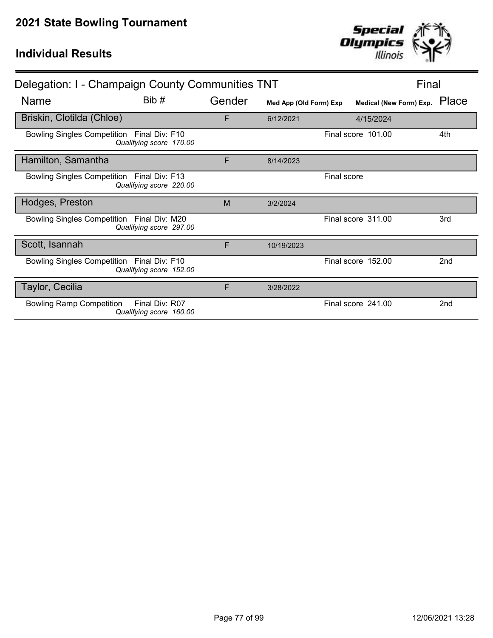| Delegation: I - Champaign County Communities TNT |                                           |        |                        |             | Final                   |                 |
|--------------------------------------------------|-------------------------------------------|--------|------------------------|-------------|-------------------------|-----------------|
| Name                                             | Bib#                                      | Gender | Med App (Old Form) Exp |             | Medical (New Form) Exp. | Place           |
| Briskin, Clotilda (Chloe)                        |                                           | F      | 6/12/2021              |             | 4/15/2024               |                 |
| Bowling Singles Competition Final Div: F10       | Qualifying score 170.00                   |        |                        |             | Final score 101.00      | 4th             |
| Hamilton, Samantha                               |                                           | F      | 8/14/2023              |             |                         |                 |
| Bowling Singles Competition Final Div: F13       | Qualifying score 220.00                   |        |                        | Final score |                         |                 |
| Hodges, Preston                                  |                                           | M      | 3/2/2024               |             |                         |                 |
| Bowling Singles Competition Final Div: M20       | Qualifying score 297.00                   |        |                        |             | Final score 311.00      | 3rd             |
| Scott, Isannah                                   |                                           | F      | 10/19/2023             |             |                         |                 |
| Bowling Singles Competition Final Div: F10       | Qualifying score 152.00                   |        |                        |             | Final score 152.00      | 2 <sub>nd</sub> |
| Taylor, Cecilia                                  |                                           | F      | 3/28/2022              |             |                         |                 |
| <b>Bowling Ramp Competition</b>                  | Final Div: R07<br>Qualifying score 160.00 |        |                        |             | Final score 241.00      | 2 <sub>nd</sub> |

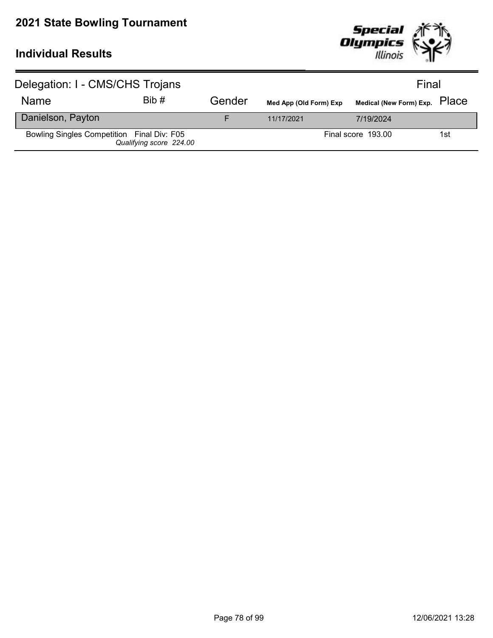

| Delegation: I - CMS/CHS Trojans            |                         |        |                        | Final                         |     |
|--------------------------------------------|-------------------------|--------|------------------------|-------------------------------|-----|
| <b>Name</b>                                | Bib#                    | Gender | Med App (Old Form) Exp | Medical (New Form) Exp. PlaCe |     |
| Danielson, Payton                          |                         |        | 11/17/2021             | 7/19/2024                     |     |
| Bowling Singles Competition Final Div: F05 | Qualifying score 224.00 |        |                        | Final score 193.00            | 1st |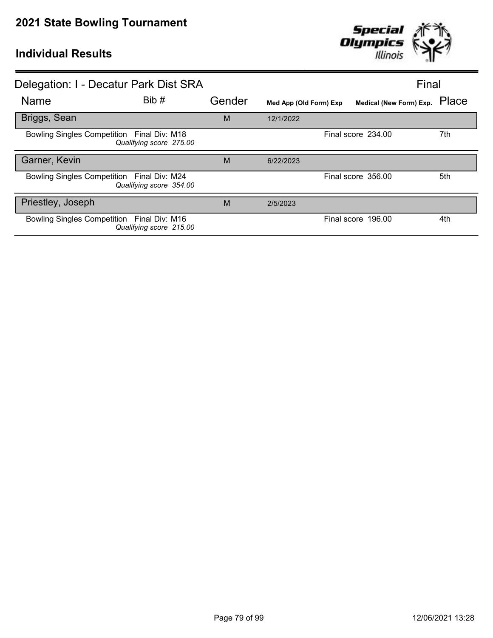

| Delegation: I - Decatur Park Dist SRA                                 |        |                        | Final                         |     |
|-----------------------------------------------------------------------|--------|------------------------|-------------------------------|-----|
| Bib#<br><b>Name</b>                                                   | Gender | Med App (Old Form) Exp | Medical (New Form) Exp. Place |     |
| Briggs, Sean                                                          | M      | 12/1/2022              |                               |     |
| Bowling Singles Competition Final Div: M18<br>Qualifying score 275.00 |        |                        | Final score 234.00            | 7th |
| Garner, Kevin                                                         | M      | 6/22/2023              |                               |     |
| Bowling Singles Competition Final Div: M24<br>Qualifying score 354.00 |        |                        | Final score 356.00            | 5th |
| Priestley, Joseph                                                     | M      | 2/5/2023               |                               |     |
| Bowling Singles Competition Final Div: M16<br>Qualifying score 215.00 |        |                        | Final score 196.00            | 4th |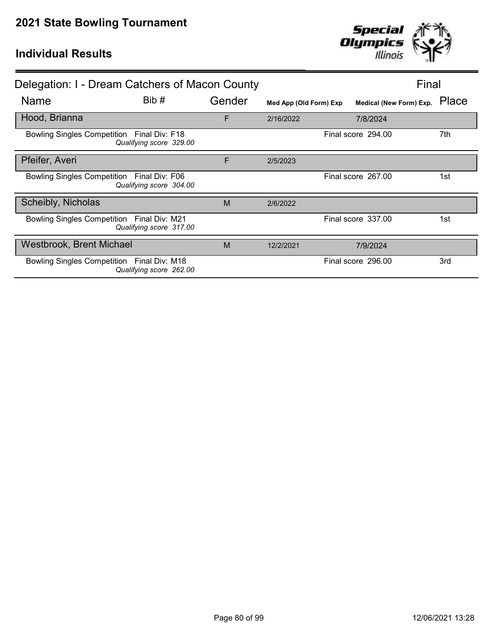

| Delegation: I - Dream Catchers of Macon County |                         |        |                        |  | Final                   |       |
|------------------------------------------------|-------------------------|--------|------------------------|--|-------------------------|-------|
| <b>Name</b>                                    | Bib#                    | Gender | Med App (Old Form) Exp |  | Medical (New Form) Exp. | Place |
| Hood, Brianna                                  |                         | F      | 2/16/2022              |  | 7/8/2024                |       |
| Bowling Singles Competition Final Div: F18     | Qualifying score 329.00 |        |                        |  | Final score 294.00      | 7th   |
| Pfeifer, Averi                                 |                         | F      | 2/5/2023               |  |                         |       |
| Bowling Singles Competition Final Div: F06     | Qualifying score 304.00 |        |                        |  | Final score 267.00      | 1st   |
| Scheibly, Nicholas                             |                         | M      | 2/6/2022               |  |                         |       |
| Bowling Singles Competition Final Div: M21     | Qualifying score 317.00 |        |                        |  | Final score 337.00      | 1st   |
| Westbrook, Brent Michael                       |                         | M      | 12/2/2021              |  | 7/9/2024                |       |
| Bowling Singles Competition Final Div: M18     | Qualifying score 262.00 |        |                        |  | Final score 296.00      | 3rd   |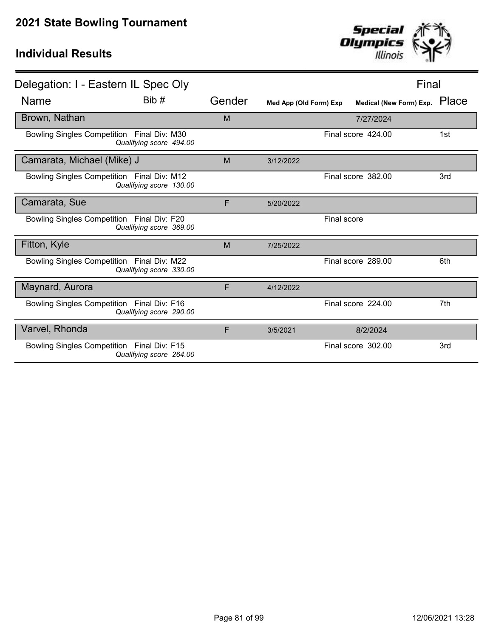

| Delegation: I - Eastern IL Spec Oly        |                         |        |                        |             | Final                   |       |
|--------------------------------------------|-------------------------|--------|------------------------|-------------|-------------------------|-------|
| <b>Name</b>                                | Bib#                    | Gender | Med App (Old Form) Exp |             | Medical (New Form) Exp. | Place |
| Brown, Nathan                              |                         | M      |                        |             | 7/27/2024               |       |
| Bowling Singles Competition Final Div: M30 | Qualifying score 494.00 |        |                        |             | Final score 424.00      | 1st   |
| Camarata, Michael (Mike) J                 |                         | M      | 3/12/2022              |             |                         |       |
| Bowling Singles Competition Final Div: M12 | Qualifying score 130.00 |        |                        |             | Final score 382.00      | 3rd   |
| Camarata, Sue                              |                         | F      | 5/20/2022              |             |                         |       |
| Bowling Singles Competition Final Div: F20 | Qualifying score 369.00 |        |                        | Final score |                         |       |
| Fitton, Kyle                               |                         | M      | 7/25/2022              |             |                         |       |
| Bowling Singles Competition Final Div: M22 | Qualifying score 330.00 |        |                        |             | Final score 289.00      | 6th   |
| Maynard, Aurora                            |                         | F      | 4/12/2022              |             |                         |       |
| Bowling Singles Competition Final Div: F16 | Qualifying score 290.00 |        |                        |             | Final score 224.00      | 7th   |
| Varvel, Rhonda                             |                         | F      | 3/5/2021               |             | 8/2/2024                |       |
| Bowling Singles Competition Final Div: F15 | Qualifying score 264.00 |        |                        |             | Final score 302.00      | 3rd   |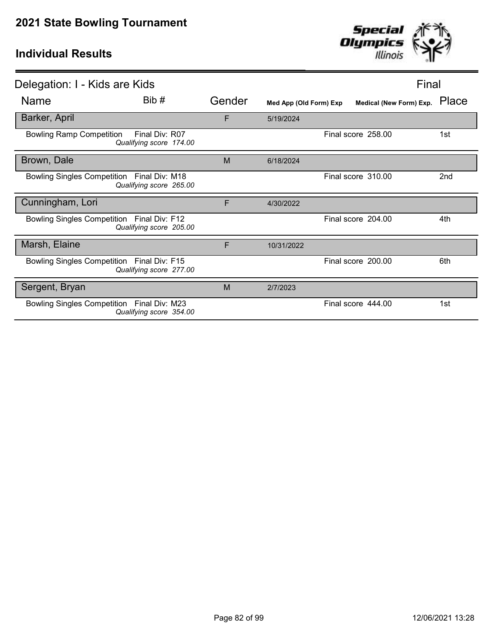

| Delegation: I - Kids are Kids                                                |        |                        |                         | Final |
|------------------------------------------------------------------------------|--------|------------------------|-------------------------|-------|
| Bib #<br><b>Name</b>                                                         | Gender | Med App (Old Form) Exp | Medical (New Form) Exp. | Place |
| Barker, April                                                                | F      | 5/19/2024              |                         |       |
| Final Div: R07<br><b>Bowling Ramp Competition</b><br>Qualifying score 174.00 |        |                        | Final score 258.00      | 1st   |
| Brown, Dale                                                                  | M      | 6/18/2024              |                         |       |
| Bowling Singles Competition Final Div: M18<br>Qualifying score 265.00        |        |                        | Final score 310.00      | 2nd   |
| Cunningham, Lori                                                             | F      | 4/30/2022              |                         |       |
| Bowling Singles Competition Final Div: F12<br>Qualifying score 205.00        |        |                        | Final score 204.00      | 4th   |
| Marsh, Elaine                                                                | F      | 10/31/2022             |                         |       |
| Bowling Singles Competition Final Div: F15<br>Qualifying score 277.00        |        |                        | Final score 200.00      | 6th   |
| Sergent, Bryan                                                               | M      | 2/7/2023               |                         |       |
| Bowling Singles Competition Final Div: M23<br>Qualifying score 354.00        |        |                        | Final score 444.00      | 1st   |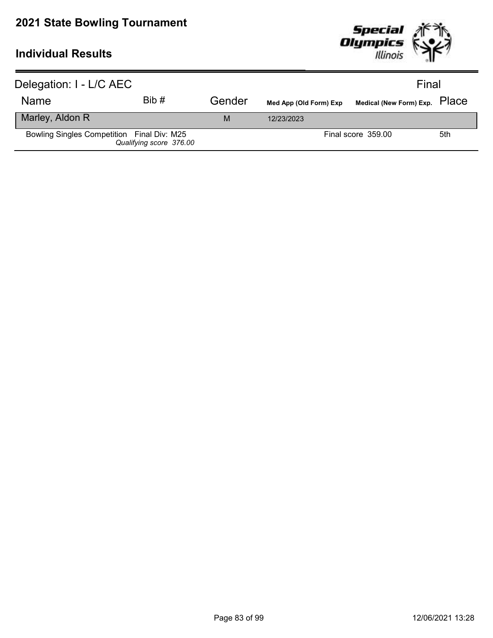

| Delegation: I - L/C AEC                    |                         |        |                        | Final                         |     |
|--------------------------------------------|-------------------------|--------|------------------------|-------------------------------|-----|
| <b>Name</b>                                | Bib#                    | Gender | Med App (Old Form) Exp | Medical (New Form) Exp. PlaCe |     |
| Marley, Aldon R                            |                         | M      | 12/23/2023             |                               |     |
| Bowling Singles Competition Final Div: M25 | Qualifying score 376.00 |        |                        | Final score 359.00            | 5th |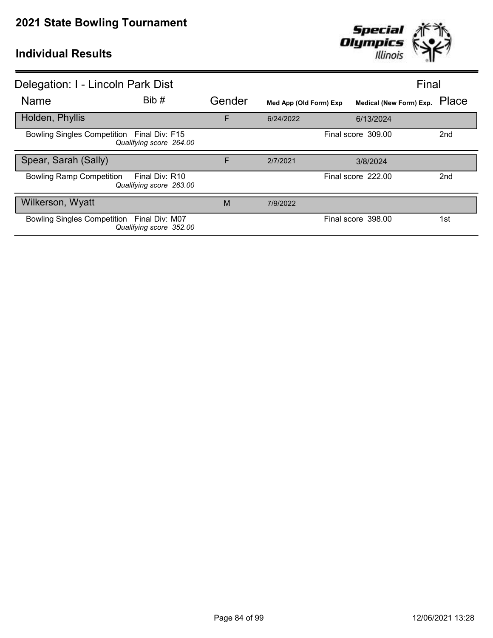

| Delegation: I - Lincoln Park Dist                                            |        |                        |                               | Final           |
|------------------------------------------------------------------------------|--------|------------------------|-------------------------------|-----------------|
| Bib #<br><b>Name</b>                                                         | Gender | Med App (Old Form) Exp | Medical (New Form) Exp. Place |                 |
| Holden, Phyllis                                                              | F      | 6/24/2022              | 6/13/2024                     |                 |
| Bowling Singles Competition Final Div: F15<br>Qualifying score 264.00        |        |                        | Final score 309.00            | 2nd             |
| Spear, Sarah (Sally)                                                         | F      | 2/7/2021               | 3/8/2024                      |                 |
| <b>Bowling Ramp Competition</b><br>Final Div: R10<br>Qualifying score 263.00 |        |                        | Final score 222.00            | 2 <sub>nd</sub> |
| Wilkerson, Wyatt                                                             | M      | 7/9/2022               |                               |                 |
| Bowling Singles Competition Final Div: M07<br>Qualifying score 352.00        |        |                        | Final score 398.00            | 1st             |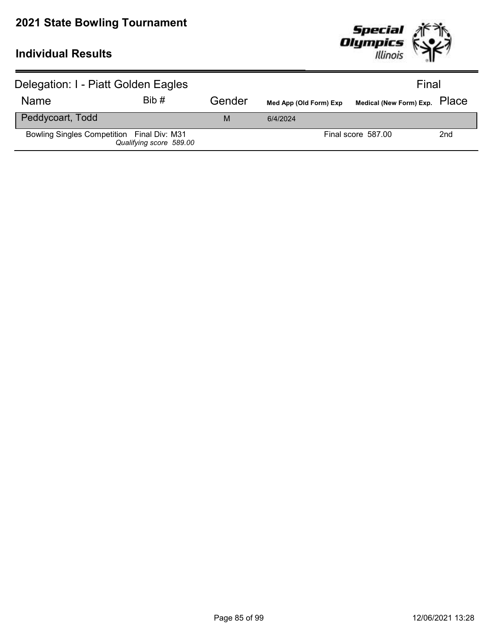

| Delegation: I - Piatt Golden Eagles        |                         |        |                        | Final                         |                 |
|--------------------------------------------|-------------------------|--------|------------------------|-------------------------------|-----------------|
| Name                                       | Bib#                    | Gender | Med App (Old Form) Exp | Medical (New Form) Exp. Place |                 |
| Peddycoart, Todd                           |                         | M      | 6/4/2024               |                               |                 |
| Bowling Singles Competition Final Div: M31 | Qualifying score 589.00 |        |                        | Final score 587.00            | 2 <sub>nd</sub> |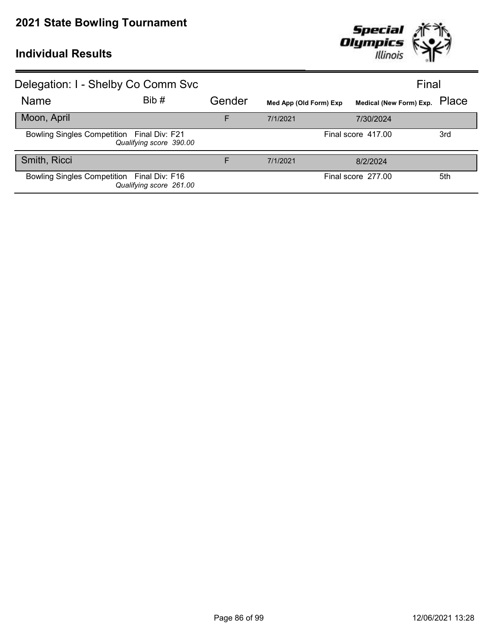

| Delegation: I - Shelby Co Comm Svc         |                         |        |                        | Final                   |       |
|--------------------------------------------|-------------------------|--------|------------------------|-------------------------|-------|
| <b>Name</b>                                | Bib#                    | Gender | Med App (Old Form) Exp | Medical (New Form) Exp. | Place |
| Moon, April                                |                         | F      | 7/1/2021               | 7/30/2024               |       |
| Bowling Singles Competition Final Div: F21 | Qualifying score 390.00 |        |                        | Final score 417.00      | 3rd   |
| Smith, Ricci                               |                         | F      | 7/1/2021               | 8/2/2024                |       |
| Bowling Singles Competition Final Div: F16 | Qualifying score 261.00 |        |                        | Final score 277.00      | 5th   |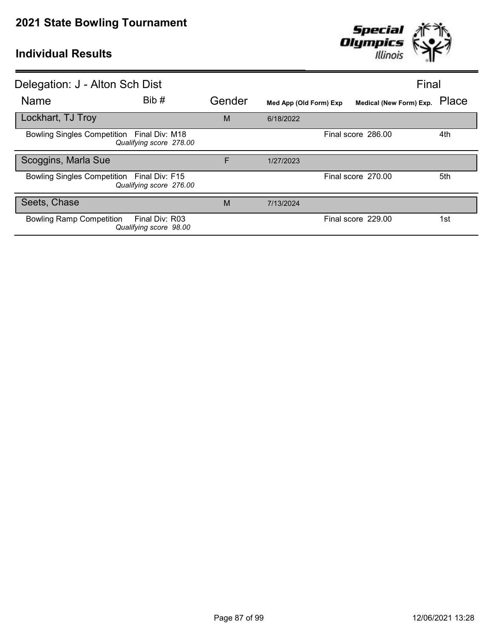

| Delegation: J - Alton Sch Dist                                              |        |                        | Final                         |     |
|-----------------------------------------------------------------------------|--------|------------------------|-------------------------------|-----|
| Bib #<br>Name                                                               | Gender | Med App (Old Form) Exp | Medical (New Form) Exp. Place |     |
| Lockhart, TJ Troy                                                           | M      | 6/18/2022              |                               |     |
| Bowling Singles Competition Final Div: M18<br>Qualifying score 278.00       |        |                        | Final score 286.00            | 4th |
| Scoggins, Marla Sue                                                         | F      | 1/27/2023              |                               |     |
| Bowling Singles Competition Final Div: F15<br>Qualifying score 276.00       |        |                        | Final score 270.00            | 5th |
| Seets, Chase                                                                | M      | 7/13/2024              |                               |     |
| <b>Bowling Ramp Competition</b><br>Final Div: R03<br>Qualifying score 98.00 |        |                        | Final score 229.00            | 1st |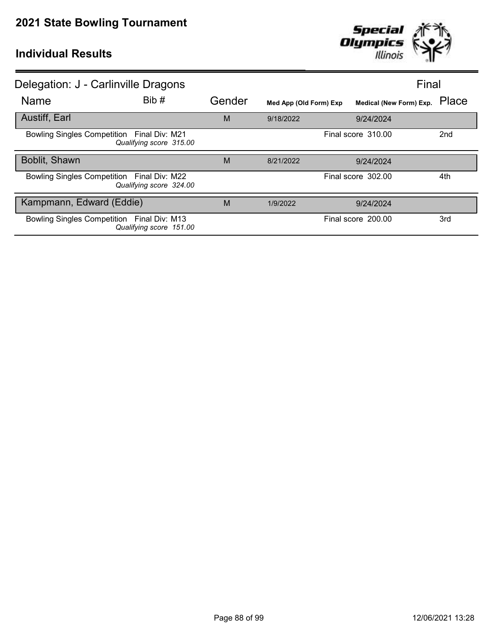

| Delegation: J - Carlinville Dragons                                   |        |                        | Final                   |                 |
|-----------------------------------------------------------------------|--------|------------------------|-------------------------|-----------------|
| Bib#<br><b>Name</b>                                                   | Gender | Med App (Old Form) Exp | Medical (New Form) Exp. | Place           |
| <b>Austiff, Earl</b>                                                  | M      | 9/18/2022              | 9/24/2024               |                 |
| Bowling Singles Competition Final Div: M21<br>Qualifying score 315.00 |        |                        | Final score 310.00      | 2 <sub>nd</sub> |
| Boblit, Shawn                                                         | M      | 8/21/2022              | 9/24/2024               |                 |
| Bowling Singles Competition Final Div: M22<br>Qualifying score 324.00 |        |                        | Final score 302.00      | 4th             |
| Kampmann, Edward (Eddie)                                              | M      | 1/9/2022               | 9/24/2024               |                 |
| Bowling Singles Competition Final Div: M13<br>Qualifying score 151.00 |        |                        | Final score 200.00      | 3rd             |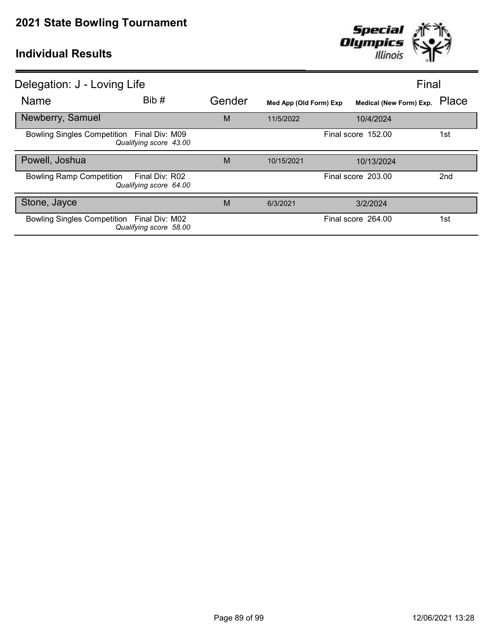

| Delegation: J - Loving Life                                                 |        |                        |                         | Final           |
|-----------------------------------------------------------------------------|--------|------------------------|-------------------------|-----------------|
| Bib #<br><b>Name</b>                                                        | Gender | Med App (Old Form) Exp | Medical (New Form) Exp. | Place           |
| Newberry, Samuel                                                            | M      | 11/5/2022              | 10/4/2024               |                 |
| Bowling Singles Competition Final Div: M09<br>Qualifying score 43.00        |        |                        | Final score 152.00      | 1st             |
| Powell, Joshua                                                              | M      | 10/15/2021             | 10/13/2024              |                 |
| <b>Bowling Ramp Competition</b><br>Final Div: R02<br>Qualifying score 64.00 |        |                        | Final score 203.00      | 2 <sub>nd</sub> |
| Stone, Jayce                                                                | M      | 6/3/2021               | 3/2/2024                |                 |
| Bowling Singles Competition Final Div: M02<br>Qualifying score 58.00        |        |                        | Final score 264.00      | 1st             |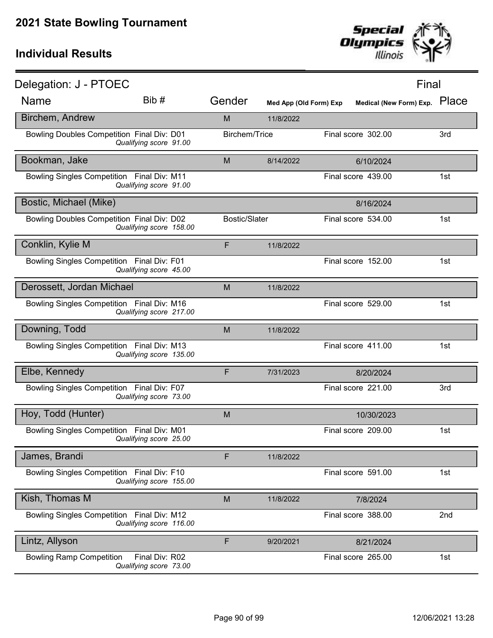

| Delegation: J - PTOEC                      |                                          |                      |                        |                               | Final |
|--------------------------------------------|------------------------------------------|----------------------|------------------------|-------------------------------|-------|
| Name                                       | Bib #                                    | Gender               | Med App (Old Form) Exp | Medical (New Form) Exp. Place |       |
| Birchem, Andrew                            |                                          | M                    | 11/8/2022              |                               |       |
| Bowling Doubles Competition Final Div: D01 | Qualifying score 91.00                   | Birchem/Trice        |                        | Final score 302.00            | 3rd   |
| Bookman, Jake                              |                                          | M                    | 8/14/2022              | 6/10/2024                     |       |
| Bowling Singles Competition Final Div: M11 | Qualifying score 91.00                   |                      |                        | Final score 439.00            | 1st   |
| Bostic, Michael (Mike)                     |                                          |                      |                        | 8/16/2024                     |       |
| Bowling Doubles Competition Final Div: D02 | Qualifying score 158.00                  | <b>Bostic/Slater</b> |                        | Final score 534.00            | 1st   |
| Conklin, Kylie M                           |                                          | F                    | 11/8/2022              |                               |       |
| Bowling Singles Competition Final Div: F01 | Qualifying score 45.00                   |                      |                        | Final score 152.00            | 1st   |
| Derossett, Jordan Michael                  |                                          | M                    | 11/8/2022              |                               |       |
| Bowling Singles Competition Final Div: M16 | Qualifying score 217.00                  |                      |                        | Final score 529.00            | 1st   |
| Downing, Todd                              |                                          | M                    | 11/8/2022              |                               |       |
| Bowling Singles Competition Final Div: M13 | Qualifying score 135.00                  |                      |                        | Final score 411.00            | 1st   |
| Elbe, Kennedy                              |                                          | F                    | 7/31/2023              | 8/20/2024                     |       |
| Bowling Singles Competition Final Div: F07 | Qualifying score 73.00                   |                      |                        | Final score 221.00            | 3rd   |
| Hoy, Todd (Hunter)                         |                                          | M                    |                        | 10/30/2023                    |       |
| Bowling Singles Competition Final Div: M01 | Qualitying score 25.00                   |                      |                        | Final score 209.00            | 1st   |
| James, Brandi                              |                                          | F                    | 11/8/2022              |                               |       |
| Bowling Singles Competition Final Div: F10 | Qualifying score 155.00                  |                      |                        | Final score 591.00            | 1st   |
| Kish, Thomas M                             |                                          | M                    | 11/8/2022              | 7/8/2024                      |       |
| Bowling Singles Competition Final Div: M12 | Qualifying score 116.00                  |                      |                        | Final score 388.00            | 2nd   |
| Lintz, Allyson                             |                                          | F                    | 9/20/2021              | 8/21/2024                     |       |
| <b>Bowling Ramp Competition</b>            | Final Div: R02<br>Qualifying score 73.00 |                      |                        | Final score 265.00            | 1st   |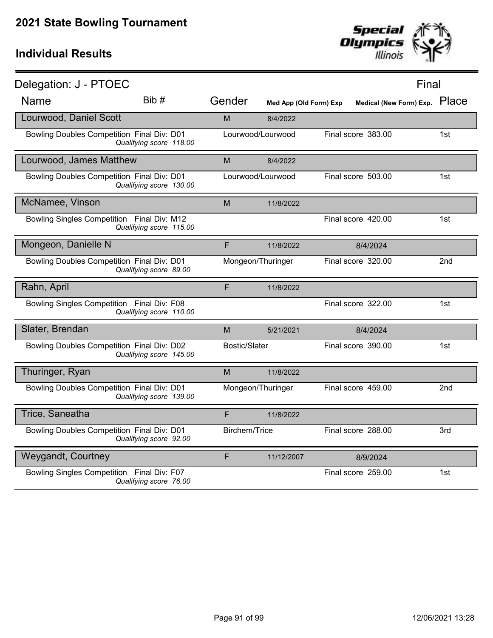

| Delegation: J - PTOEC                             |                         |                      |                        |                    | Final                         |
|---------------------------------------------------|-------------------------|----------------------|------------------------|--------------------|-------------------------------|
| <b>Name</b>                                       | Bib #                   | Gender               | Med App (Old Form) Exp |                    | Medical (New Form) Exp. Place |
| Lourwood, Daniel Scott                            |                         | M                    | 8/4/2022               |                    |                               |
| Bowling Doubles Competition Final Div: D01        | Qualifying score 118.00 |                      | Lourwood/Lourwood      | Final score 383.00 | 1st                           |
| Lourwood, James Matthew                           |                         | M                    | 8/4/2022               |                    |                               |
| <b>Bowling Doubles Competition Final Div: D01</b> | Qualifying score 130.00 |                      | Lourwood/Lourwood      | Final score 503.00 | 1st                           |
| McNamee, Vinson                                   |                         | M                    | 11/8/2022              |                    |                               |
| Bowling Singles Competition Final Div: M12        | Qualifying score 115.00 |                      |                        | Final score 420.00 | 1st                           |
| Mongeon, Danielle N                               |                         | F                    | 11/8/2022              | 8/4/2024           |                               |
| Bowling Doubles Competition Final Div: D01        | Qualifying score 89.00  |                      | Mongeon/Thuringer      | Final score 320.00 | 2 <sub>nd</sub>               |
| Rahn, April                                       |                         | F                    | 11/8/2022              |                    |                               |
| Bowling Singles Competition Final Div: F08        | Qualifying score 110.00 |                      |                        | Final score 322.00 | 1st                           |
| Slater, Brendan                                   |                         | M                    | 5/21/2021              | 8/4/2024           |                               |
| Bowling Doubles Competition Final Div: D02        | Qualifying score 145.00 | <b>Bostic/Slater</b> |                        | Final score 390.00 | 1st                           |
| Thuringer, Ryan                                   |                         | M                    | 11/8/2022              |                    |                               |
| Bowling Doubles Competition Final Div: D01        | Qualifying score 139.00 |                      | Mongeon/Thuringer      | Final score 459.00 | 2nd                           |
| Trice, Saneatha                                   |                         | F                    | 11/8/2022              |                    |                               |
| Bowling Doubles Competition Final Div: D01        | Qualifying score 92.00  | Birchem/Trice        |                        | Final score 288.00 | 3rd                           |
| <b>Weygandt, Courtney</b>                         |                         | F                    | 11/12/2007             | 8/9/2024           |                               |
| Bowling Singles Competition Final Div: F07        | Qualifying score 76.00  |                      |                        | Final score 259.00 | 1st                           |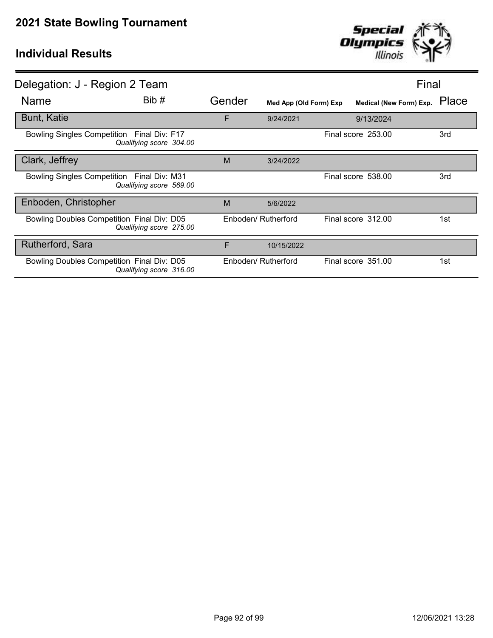

| Delegation: J - Region 2 Team              |                         |        |                        | Final                   |       |
|--------------------------------------------|-------------------------|--------|------------------------|-------------------------|-------|
| Name                                       | Bib#                    | Gender | Med App (Old Form) Exp | Medical (New Form) Exp. | Place |
| <b>Bunt, Katie</b>                         |                         | F      | 9/24/2021              | 9/13/2024               |       |
| Bowling Singles Competition Final Div: F17 | Qualifying score 304.00 |        |                        | Final score 253.00      | 3rd   |
| Clark, Jeffrey                             |                         | M      | 3/24/2022              |                         |       |
| Bowling Singles Competition Final Div: M31 | Qualifying score 569.00 |        |                        | Final score 538.00      | 3rd   |
| Enboden, Christopher                       |                         | M      | 5/6/2022               |                         |       |
| Bowling Doubles Competition Final Div: D05 | Qualifying score 275.00 |        | Enboden/ Rutherford    | Final score 312.00      | 1st.  |
| Rutherford, Sara                           |                         | F      | 10/15/2022             |                         |       |
| Bowling Doubles Competition Final Div: D05 | Qualifying score 316.00 |        | Enboden/ Rutherford    | Final score 351.00      | 1st   |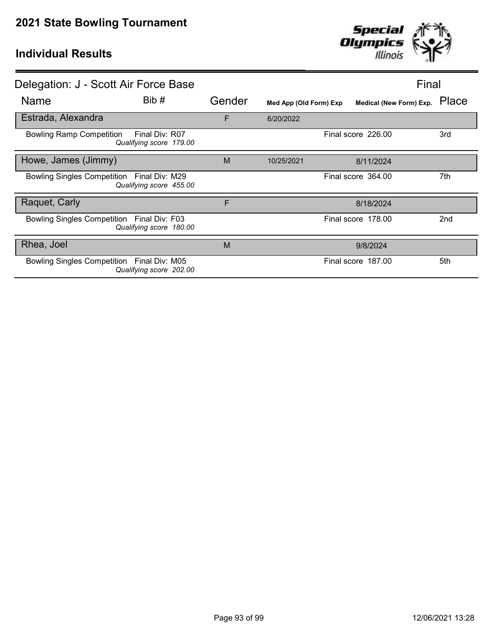

| Delegation: J - Scott Air Force Base       |                                           |        |                        |                         | Final           |
|--------------------------------------------|-------------------------------------------|--------|------------------------|-------------------------|-----------------|
| Name                                       | Bib#                                      | Gender | Med App (Old Form) Exp | Medical (New Form) Exp. | Place           |
| Estrada, Alexandra                         |                                           | F      | 6/20/2022              |                         |                 |
| <b>Bowling Ramp Competition</b>            | Final Div: R07<br>Qualifying score 179.00 |        |                        | Final score 226.00      | 3rd             |
| Howe, James (Jimmy)                        |                                           | M      | 10/25/2021             | 8/11/2024               |                 |
| Bowling Singles Competition Final Div: M29 | Qualifying score 455.00                   |        |                        | Final score 364.00      | 7th             |
| Raquet, Carly                              |                                           | F      |                        | 8/18/2024               |                 |
| Bowling Singles Competition Final Div: F03 | Qualifying score 180.00                   |        |                        | Final score 178.00      | 2 <sub>nd</sub> |
| Rhea, Joel                                 |                                           | M      |                        | 9/8/2024                |                 |
| Bowling Singles Competition Final Div: M05 | Qualifying score 202.00                   |        |                        | Final score 187.00      | 5th             |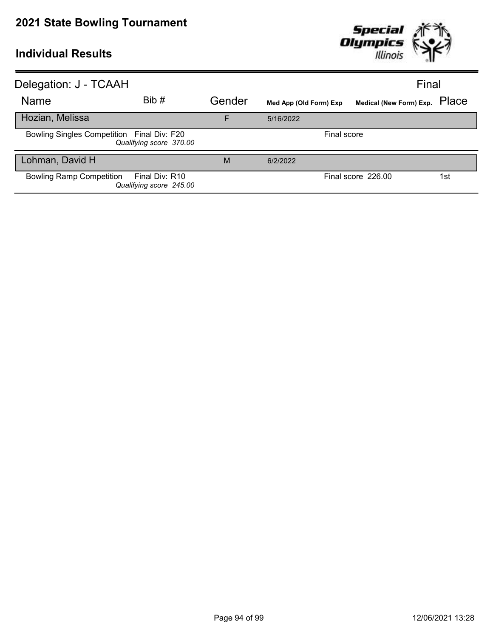

| Delegation: J - TCAAH                      |                                           |        |                        | Final                   |       |
|--------------------------------------------|-------------------------------------------|--------|------------------------|-------------------------|-------|
| <b>Name</b>                                | Bib#                                      | Gender | Med App (Old Form) Exp | Medical (New Form) Exp. | Place |
| Hozian, Melissa                            |                                           | F      | 5/16/2022              |                         |       |
| Bowling Singles Competition Final Div: F20 | Qualifying score 370.00                   |        | Final score            |                         |       |
| Lohman, David H                            |                                           | M      | 6/2/2022               |                         |       |
| <b>Bowling Ramp Competition</b>            | Final Div: R10<br>Qualifying score 245.00 |        |                        | Final score 226.00      | 1st   |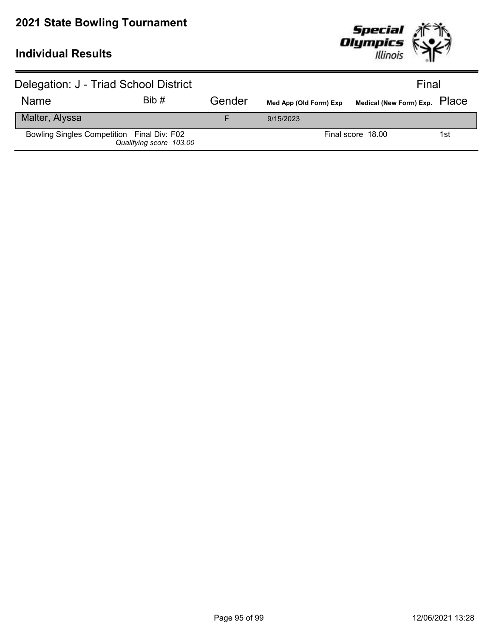

| Delegation: J - Triad School District      |                         |        |                        | Final                         |     |
|--------------------------------------------|-------------------------|--------|------------------------|-------------------------------|-----|
| <b>Name</b>                                | Bib#                    | Gender | Med App (Old Form) Exp | Medical (New Form) Exp. PlaCe |     |
| Malter, Alyssa                             |                         |        | 9/15/2023              |                               |     |
| Bowling Singles Competition Final Div: F02 | Qualifying score 103.00 |        |                        | Final score 18.00             | 1st |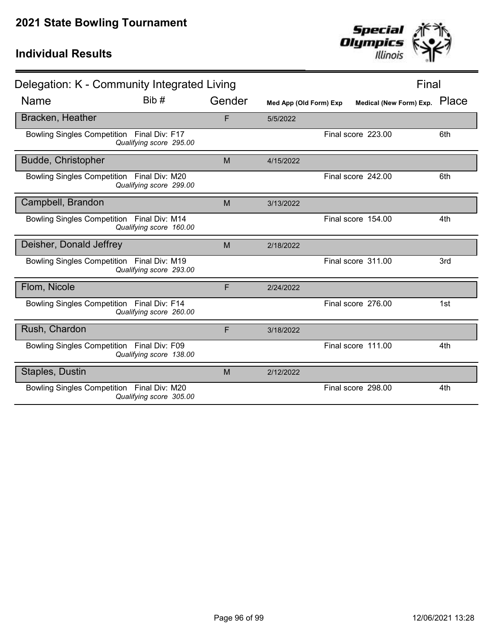

| Delegation: K - Community Integrated Living |                         |        | Final                  |                    |                         |       |
|---------------------------------------------|-------------------------|--------|------------------------|--------------------|-------------------------|-------|
| <b>Name</b>                                 | Bib #                   | Gender | Med App (Old Form) Exp |                    | Medical (New Form) Exp. | Place |
| Bracken, Heather                            |                         | F      | 5/5/2022               |                    |                         |       |
| Bowling Singles Competition Final Div: F17  | Qualifying score 295.00 |        |                        | Final score 223.00 |                         | 6th   |
| <b>Budde, Christopher</b>                   |                         | M      | 4/15/2022              |                    |                         |       |
| Bowling Singles Competition Final Div: M20  | Qualifying score 299.00 |        |                        | Final score 242.00 |                         | 6th   |
| Campbell, Brandon                           |                         | M      | 3/13/2022              |                    |                         |       |
| Bowling Singles Competition Final Div: M14  | Qualifying score 160.00 |        |                        | Final score 154.00 |                         | 4th   |
| Deisher, Donald Jeffrey                     |                         | M      | 2/18/2022              |                    |                         |       |
| Bowling Singles Competition Final Div: M19  | Qualifying score 293.00 |        |                        | Final score 311.00 |                         | 3rd   |
| Flom, Nicole                                |                         | F      | 2/24/2022              |                    |                         |       |
| Bowling Singles Competition Final Div: F14  | Qualifying score 260.00 |        |                        | Final score 276.00 |                         | 1st   |
| Rush, Chardon                               |                         | F      | 3/18/2022              |                    |                         |       |
| Bowling Singles Competition Final Div: F09  | Qualifying score 138.00 |        |                        | Final score 111.00 |                         | 4th   |
| Staples, Dustin                             |                         | M      | 2/12/2022              |                    |                         |       |
| Bowling Singles Competition Final Div: M20  | Qualifying score 305.00 |        |                        | Final score 298.00 |                         | 4th   |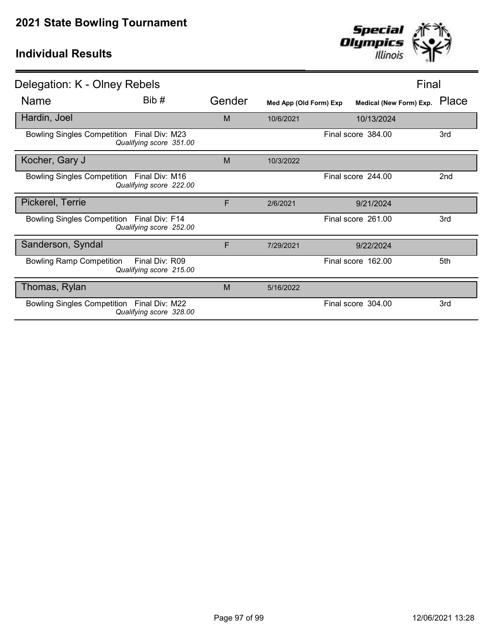

| Delegation: K - Olney Rebels                                                 |        |                        |                         | Final           |  |
|------------------------------------------------------------------------------|--------|------------------------|-------------------------|-----------------|--|
| Bib#<br>Name                                                                 | Gender | Med App (Old Form) Exp | Medical (New Form) Exp. | Place           |  |
| Hardin, Joel                                                                 | M      | 10/6/2021              | 10/13/2024              |                 |  |
| Bowling Singles Competition Final Div: M23<br>Qualifying score 351.00        |        |                        | Final score 384.00      | 3rd             |  |
| Kocher, Gary J                                                               | M      | 10/3/2022              |                         |                 |  |
| Bowling Singles Competition Final Div: M16<br>Qualifying score 222.00        |        |                        | Final score 244.00      | 2 <sub>nd</sub> |  |
| Pickerel, Terrie                                                             | F      | 2/6/2021               | 9/21/2024               |                 |  |
| Bowling Singles Competition Final Div: F14<br>Qualifying score 252.00        |        |                        | Final score 261.00      | 3rd             |  |
| Sanderson, Syndal                                                            | F      | 7/29/2021              | 9/22/2024               |                 |  |
| <b>Bowling Ramp Competition</b><br>Final Div: R09<br>Qualifying score 215.00 |        |                        | Final score 162.00      | 5th             |  |
| Thomas, Rylan                                                                | M      | 5/16/2022              |                         |                 |  |
| Bowling Singles Competition Final Div: M22<br>Qualifying score 328.00        |        |                        | Final score 304.00      | 3rd             |  |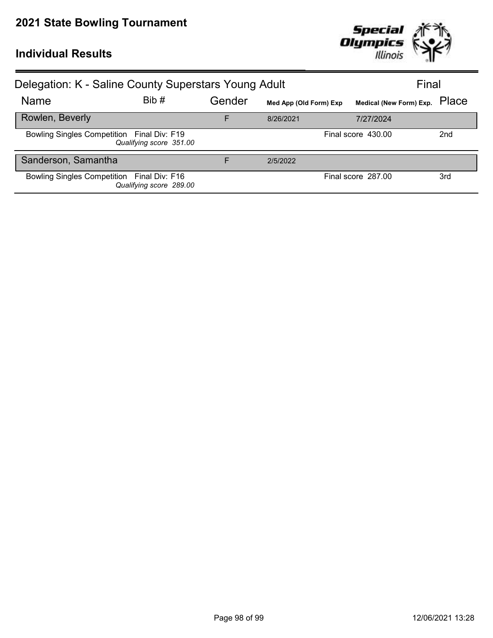

| Delegation: K - Saline County Superstars Young Adult |                         | Final  |                        |                         |                 |
|------------------------------------------------------|-------------------------|--------|------------------------|-------------------------|-----------------|
| Name                                                 | Bib#                    | Gender | Med App (Old Form) Exp | Medical (New Form) Exp. | Place           |
| Rowlen, Beverly                                      |                         | F      | 8/26/2021              | 7/27/2024               |                 |
| Bowling Singles Competition Final Div: F19           | Qualifying score 351.00 |        |                        | Final score 430.00      | 2 <sub>nd</sub> |
| Sanderson, Samantha                                  |                         | F      | 2/5/2022               |                         |                 |
| Bowling Singles Competition Final Div: F16           | Qualifying score 289.00 |        |                        | Final score 287.00      | 3rd             |